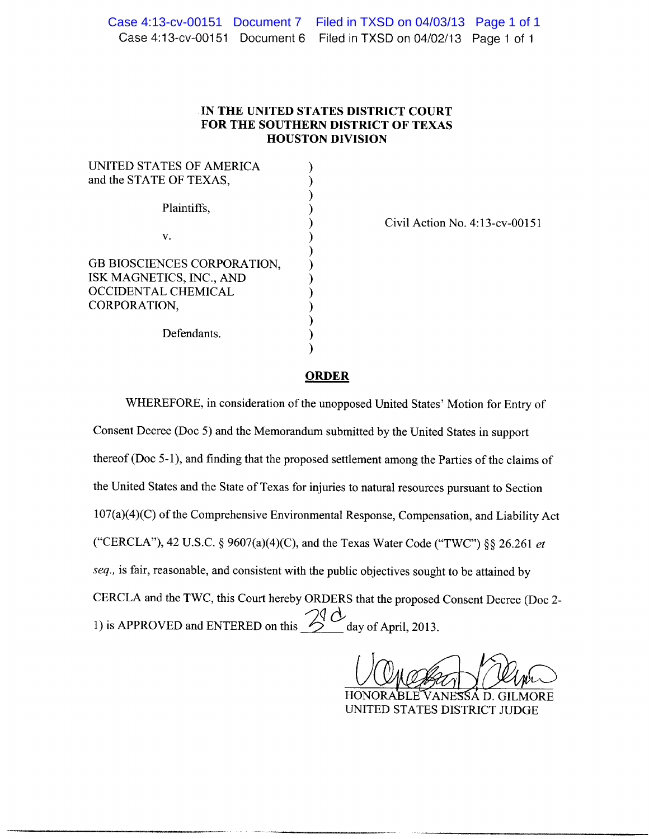|  | Case 4:13-cv-00151 Document 7  Filed in TXSD on 04/03/13  Page 1 of 1 |  |
|--|-----------------------------------------------------------------------|--|
|  | Case 4:13-cv-00151 Document 6 Filed in TXSD on 04/02/13 Page 1 of 1   |  |

## IN THE UNITED STATES DISTRICT COURT FOR THE SOUTHERN DISTRICT OF TEXAS **HOUSTON DIVISION**

| UNITED STATES OF AMERICA<br>and the STATE OF TEXAS,                                            |  |  |
|------------------------------------------------------------------------------------------------|--|--|
| Plaintiffs,                                                                                    |  |  |
| V.                                                                                             |  |  |
| GB BIOSCIENCES CORPORATION,<br>ISK MAGNETICS, INC., AND<br>OCCIDENTAL CHEMICAL<br>CORPORATION, |  |  |
| Defendants.                                                                                    |  |  |

Civil Action No. 4:13-cv-00151

## **ORDER**

WHEREFORE, in consideration of the unopposed United States' Motion for Entry of Consent Decree (Doc 5) and the Memorandum submitted by the United States in support thereof (Doc 5-1), and finding that the proposed settlement among the Parties of the claims of the United States and the State of Texas for injuries to natural resources pursuant to Section 107(a)(4)(C) of the Comprehensive Environmental Response, Compensation, and Liability Act ("CERCLA"), 42 U.S.C. § 9607(a)(4)(C), and the Texas Water Code ("TWC") §§ 26.261 et seq., is fair, reasonable, and consistent with the public objectives sought to be attained by CERCLA and the TWC, this Court hereby ORDERS that the proposed Consent Decree (Doc 2-1) is APPROVED and ENTERED on this  $\frac{\partial Q}{\partial x}$  day of April, 2013.

HON SSÁ D. GILMORE UNITED STATES DISTRICT JUDGE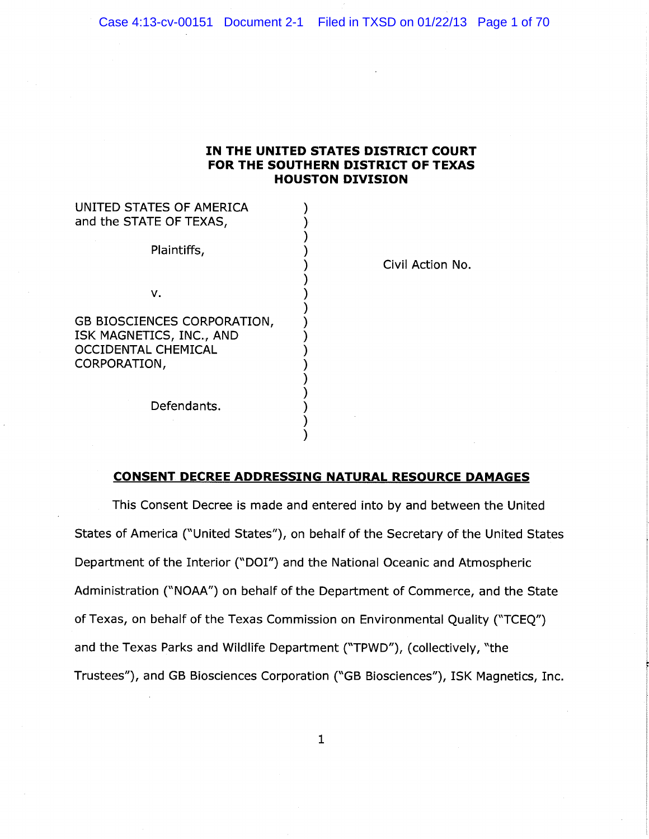## IN THE UNITED STATES DISTRICT COURT FOR THE SOUTHERN DISTRICT OF TEXAS HOUSTON DIVISION

 $\mathcal{E}$ ⟩

## UNITED STATES OF AMERICA and the STATE OF TEXAS,

Plaintiffs,

v.

GB BIOSCIENCES CORPORATION, ISK MAGNETICS, INC., AND OCCIDENTAL CHEMICAL CORPORATION,

Civil Action No.

#### Defendants.

## CONSENT DECREE ADDRESSING NATURAL RESOURCE DAMAGES

This Consent Decree is made and entered into by and between the United States of America ("United States"), on behalf of the Secretary of the United States Department of the Interior ("DOI") and the National Oceanic and Atmospheric Administration (°NOAA") on behalf of the Department of Commerce, and the State of Texas, on behalf of the Texas Commission on Environmental Quality ("TCEQ") and the Texas Parks and Wildlife Department ("TPWD"), (collectively, "the Trustees"), and GB Biosciences Corporation ("GB Biosciences"), ISK Magnetics, Inc.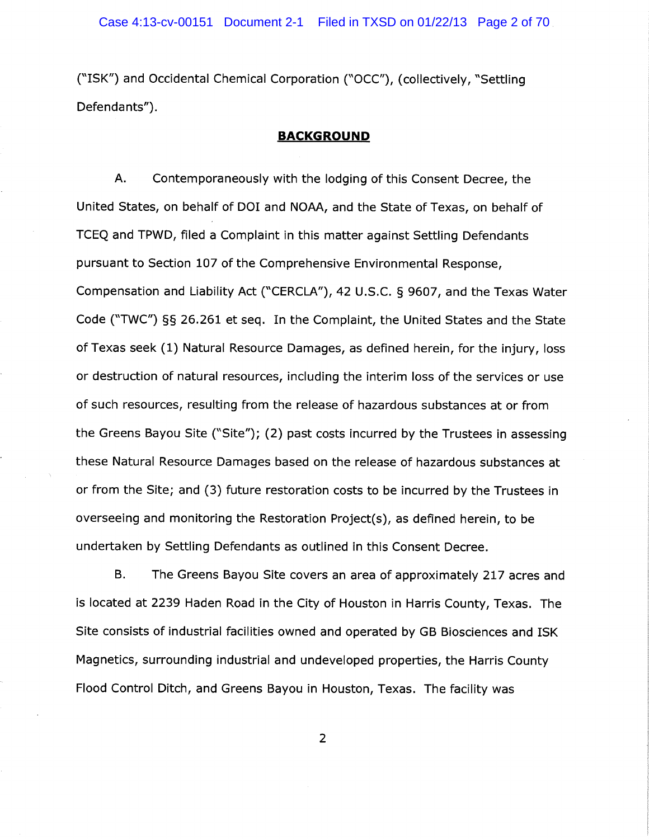(~~ISK") and Occidental Chemical Corporation ("OCC"), (collectively, °Settling Defendants").

## BACKGROUND

A. Contemporaneously with the lodging of this Consent Decree, the United States, on behalf of DOI and NOAA, and the State of Texas, on behalf of TCEQ and TPWD, filed a Complaint in this matter against Settling Defendants pursuant to Section 107 of the Comprehensive Environmental Response, Compensation and Liability Act (°CERCLA"), 42 U.S.C. § 9607, and the Texas Water Code ("TWC") §§ 26.261 et seq. In the Complaint, the United States and the State of Texas seek (1) Natural Resource Damages, as defined herein, for the injury, loss or destruction of natural resources, including the interim loss of the services or use of such resources, resulting from the release of hazardous substances at or from the Greens Bayou Site (°Site"); (2) past costs incurred by the Trustees in assessing these Natural Resource Damages based on the release of hazardous substances at or from the Site; and (3) future restoration costs to be incurred by the Trustees in overseeing and monitoring the Restoration Project(s), as defined herein, to be undertaken by Settling Defendants as outlined in this Consent Decree.

B. The Greens Bayou Site covers an area of approximately 217 acres and is located at 2239 Haden Road in the City of Houston in Harris County, Texas. The Site consists of industrial facilities owned and operated by GB Biosciences and ISK Magnetics, surrounding industrial and undeveloped properties, the Harris County Flood Control Ditch, and Greens Bayou in Houston, Texas. The facility was

 $\overline{2}$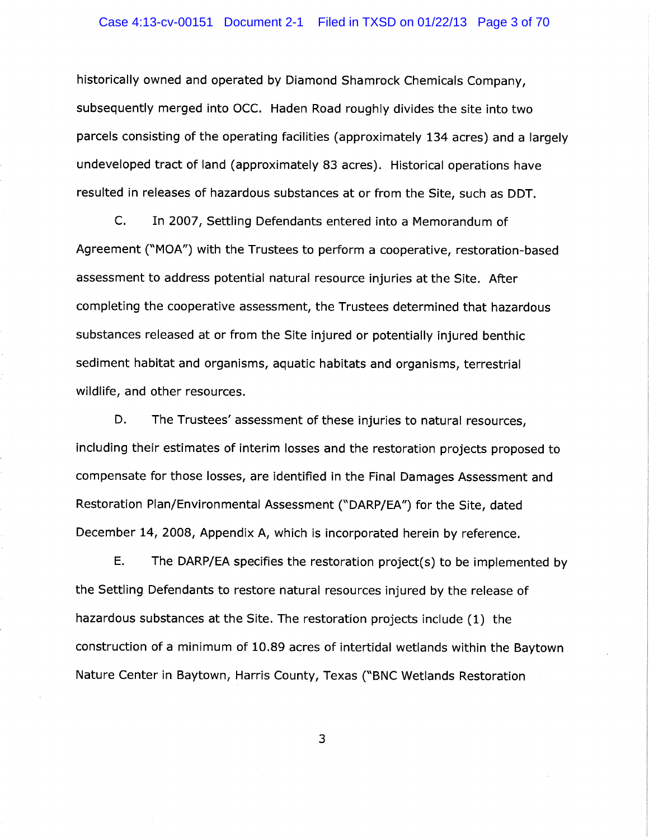historically owned and operated by Diamond Shamrock Chemicals Company, subsequently merged into OCC. Haden Road roughly divides the site into two parcels consisting of the operating facilities (approximately 134 acres) and a largely undeveloped tract of land (approximately 83 acres). Historical operations have resulted in releases of hazardous substances at or from the Site, such as DDT.

C. In 2007, Settling Defendants entered into a Memorandum of Agreement ("MOA") with the Trustees to perform a cooperative, restoration-based assessment to address potential natural resource injuries at the Site. After completing the cooperative assessment, the Trustees determined that hazardous substances released at or from the Site injured or potentially injured benthic sediment habitat and organisms, aquatic habitats and organisms, terrestrial wildlife, and other resources.

D. The Trustees' assessment of these injuries to natural resources, including their estimates of interim losses and the restoration projects proposed to compensate for those losses, are identified in the Final Damages Assessment and Restoration Plan/Environmental Assessment ("DARP/EA") for the Site, dated December 14, 2008, Appendix A, which is incorporated herein by reference.

E. The DARP/EA specifies the restoration project(s) to be implemented by the Settling Defendants to restore natural resources injured by the release of hazardous substances at the Site. The restoration projects include (1) the construction of a minimum of 10.89 acres of intertidal wetlands within the Baytown Nature Center in Baytown, Harris County, Texas (°BNC Wetlands Restoration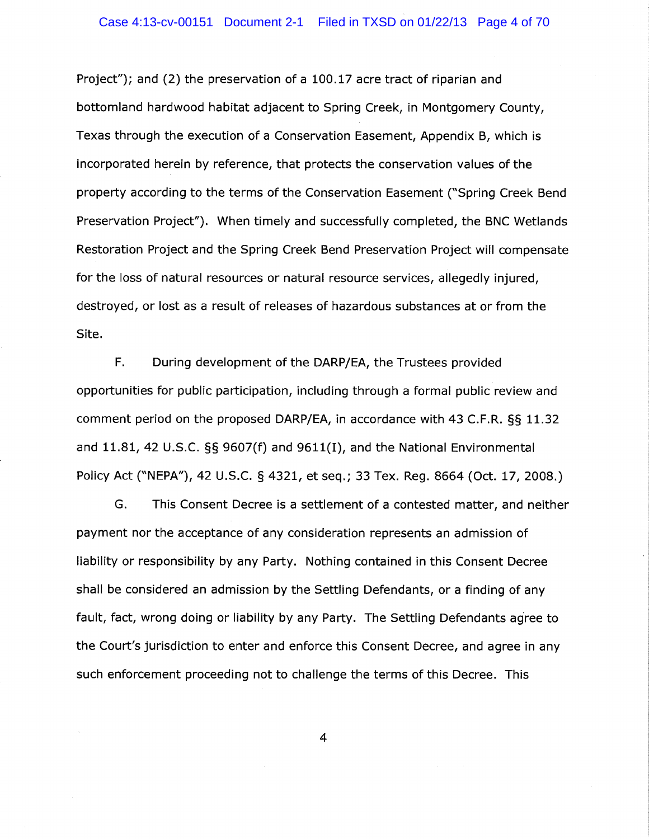Project"); and (2) the preservation of a 100.17 acre tract of riparian and bottomland hardwood habitat adjacent to Spring Creek, in Montgomery County, Texas through the execution of a Conservation Easement, Appendix B, which is incorporated herein by reference, that protects the conservation values of the property according to the terms of the Conservation Easement ("Spring Creek Bend Preservation Project"). When timely and successfully completed, the BNC Wetlands Restoration Project and the Spring Creek Bend Preservation Project will compensate for the loss of natural resources or natural resource services, allegedly injured, destroyed, or lost as a result of releases of hazardous substances at or from the Site.

F. During development of the DARP/EA, the Trustees provided opportunities for public participation, including through a formal public review and comment period on the proposed DARP/EA, in accordance with 43 C.F.R. §§ 11.32 and 11.81, 42 U.S.C. §§ 9607(f) and 9611(I), and the National Environmental Policy Act ("NEPA"), 42 U.S.C. § 4321, et seq.; 33 Tex. Reg. 8664 (Oct. 17, 2008.)

G. This Consent Decree is a settlement of a contested matter, and neither payment nor the acceptance of any consideration represents an admission of liability or responsibility by any Party. Nothing contained in this Consent Decree shall be considered an admission by the Settling Defendants, or a finding of any fault, fact, wrong doing or liability by any Party. The Settling Defendants agree to the Court's jurisdiction to enter and enforce this Consent Decree, and agree in any such enforcement proceeding not to challenge the terms of this Decree. This

 $\overline{4}$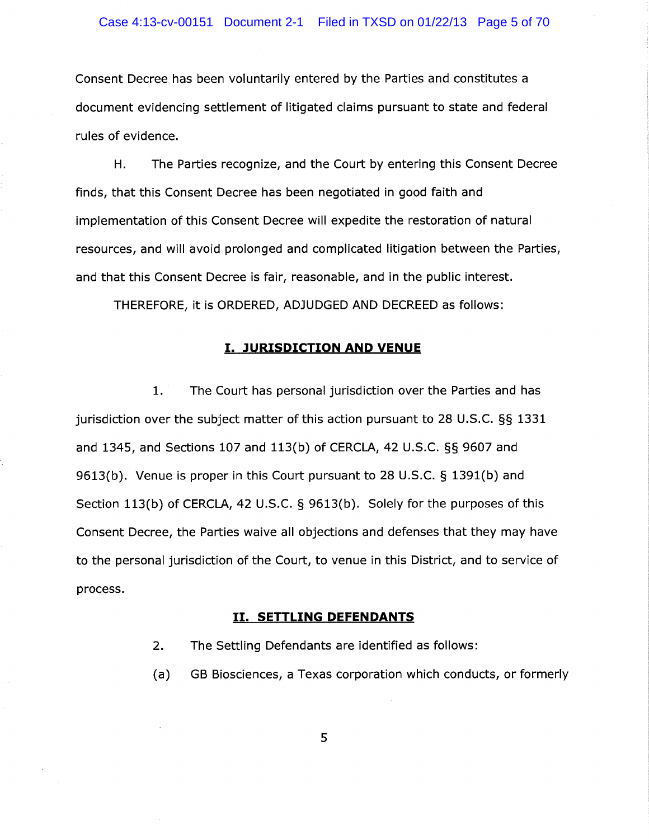Consent Decree has been voluntarily entered by the Parties and constitutes a document evidencing settlement of litigated claims pursuant to state and federal rules of evidence.

H. The Parties recognize, and the Court by entering this Consent Decree finds, that this Consent Decree has been negotiated in good faith and implementation of this Consent Decree will expedite the restoration of natural resources, and will avoid prolonged and complicated litigation between the Parties, and that this Consent Decree is fair, reasonable, and in the public interest.

THEREFORE, it is ORDERED, ADJUDGED AND DECREED as follows:

## **I. JURISDICTION AND VENUE**

1. The Court has personal jurisdiction over the Parties and has jurisdiction over the subject matter of this action pursuant to 28 U.S.C. §§ 1331 and 1345, and Sections 107 and 113(b) of CERCLA, 42 U.S.C. §§ 9607 and 9613(b). Venue is proper in this Court pursuant to 28 U.S.C.  $\S$  1391(b) and Section 113(b) of CERCLA, 42 U.S.C. § 9613(b). Solely for the purposes of this Consent Decree, the Parties waive all objections and defenses that they may have to the personal jurisdiction of the Court, to venue in this District, and to service of process.

### II. SETTLING DEFENDANTS

- 2. The Settling Defendants are identified as follows:
- (a) GB Biosciences, a Texas corporation which conducts, or formerly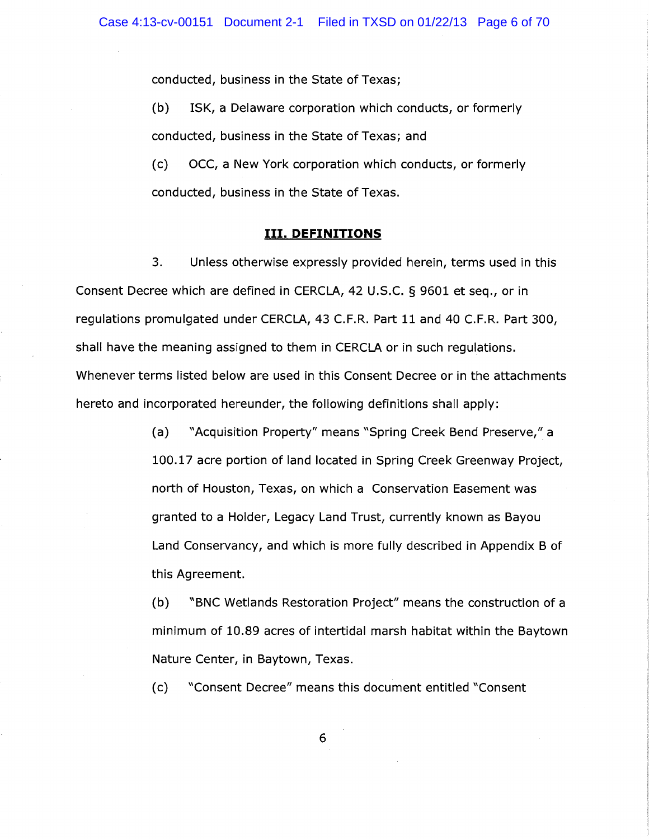conducted, business in the State of Texas;

(b) ISK, a Delaware corporation which conducts, or formerly conducted, business in the State of Texas; and

(c) OCC, a New York corporation which conducts, or formerly conducted, business in the State of Texas.

## III. DEFINITIONS

3. Unless otherwise expressly provided herein, terms used in this Consent Decree which are defined in CERCLA, 42 U.S.C. § 9601 et seq., or in regulations promulgated under CERCLA, 43 C.F.R. Part 11 and 40 C.F.R. Part 300, shall have the meaning assigned to them in CERCLA or in such regulations. Whenever terms listed below are used in this Consent Decree or in the attachments hereto and incorporated hereunder, the following definitions shall apply:

> (a) ~~Acquisition Property" means "Spring Creek Bend Preserve," a 100.17 acre portion of land located in Spring Creek Greenway Project, north of Houston, Texas, on which a Conservation Easement was granted to a Holder, Legacy Land Trust, currently known as Bayou Land Conservancy, and which is more fully described in Appendix B of this Agreement.

> (b) ~~BNC Wetlands Restoration Project" means the construction of a minimum of 10.89 acres of intertidal marsh habitat within the Baytown Nature Center, in Baytown, Texas.

(c) °Consent Decree" means this document entitled "Consent

 $6\phantom{1}$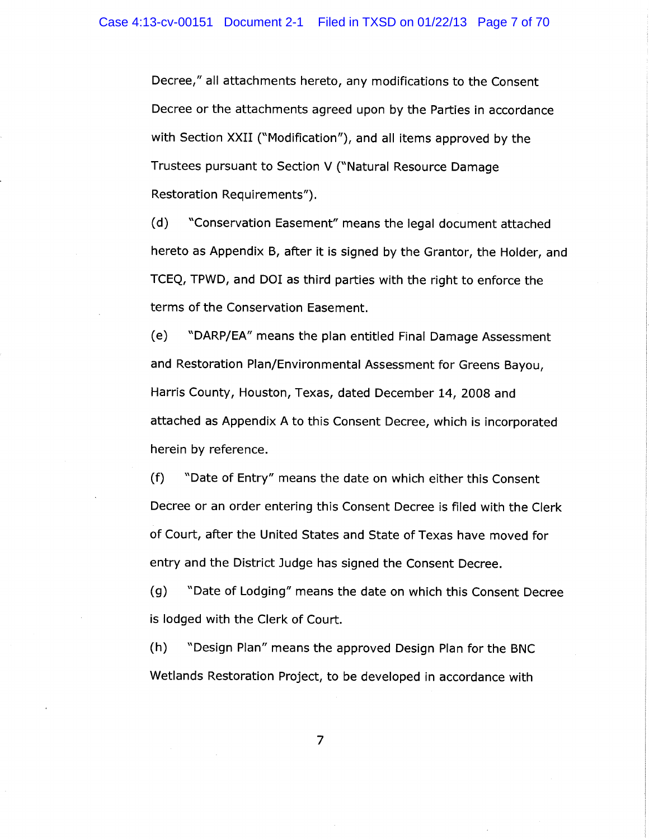Decree," all attachments hereto, any modifications to the Consent Decree or the attachments agreed upon by the Parties in accordance with Section XXII ("Modification"), and all items approved by the Trustees pursuant to Section V ("Natural Resource Damage Restoration Requirements").

(d) ~~Conservation Easement" means the legal document attached hereto as Appendix B, after it is signed by the Grantor, the Holder, and TCEQ, TPWD, and DOI as third parties with the right to enforce the terms of the Conservation Easement.

(e) °DARP/EA" means the plan entitled Final Damage Assessment and Restoration Plan/Environmental Assessment for Greens Bayou, Harris County, Houston, Texas, dated December 14, 2008 and attached as Appendix A to this Consent Decree, which is incorporated herein by reference.

(f) "Date of Entry" means the date on which either this Consent Decree or an order entering this Consent Decree is filed with the Clerk of Court, after the United States and State of Texas have moved for entry and the District Judge has signed the Consent Decree.

(g) "Date of Lodging" means the date on which this Consent Decree is lodged with the Clerk of Court.

(h) ~~Design Plan" means the approved Design Plan for the BNC Wetlands Restoration Project, to be developed in accordance with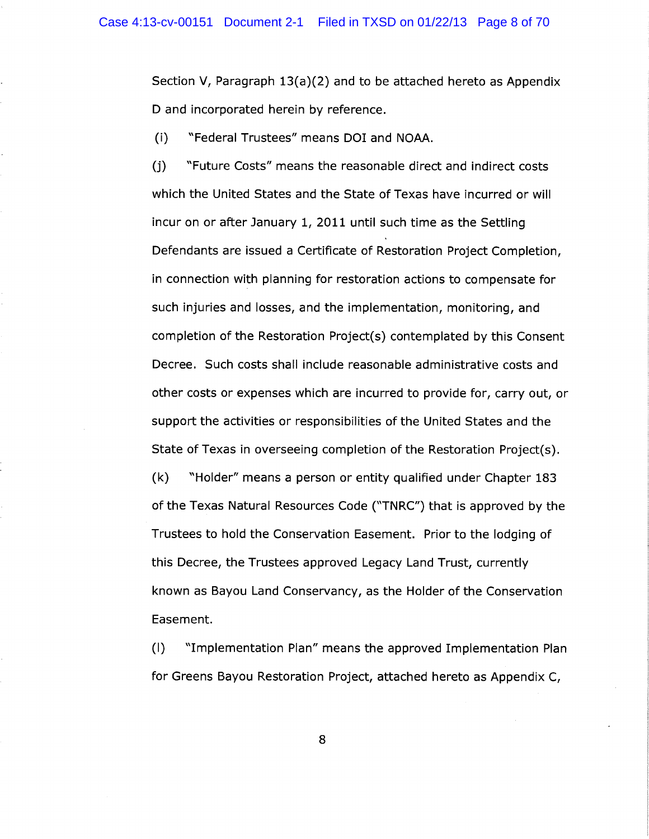Section V, Paragraph 13(a)(2) and to be attached hereto as Appendix D and incorporated herein by reference.

(i) ~~Federal Trustees" means DOI and NOAH.

(j) "Future Costs" means the reasonable direct and indirect costs which the United States and the State of Texas have incurred or will incur on or after January 1, 2011 until such time as the Settling Defendants are issued a Certificate of Restoration Project Completion, in connection with planning for restoration actions to compensate for such injuries and losses, and the implementation, monitoring, and completion of the Restoration Project(s) contemplated by this Consent Decree. Such costs shall include reasonable administrative costs and other costs or expenses which are incurred to provide for, carry out, or support the activities or responsibilities of the United States and the State of Texas in overseeing completion of the Restoration Project(s). (k) °Holder" means a person or entity qualified under Chapter 183 of the Texas Natural Resources Code ("TN RC") that is approved by the Trustees to hold the Conservation Easement. Prior to the lodging of this Decree, the Trustees approved Legacy Land Trust, currently known as Bayou Land Conservancy, as the Holder of the Conservation Easement.

(I) "Implementation Plan" means the approved Implementation Plan for Greens Bayou Restoration Project, attached hereto as Appendix C,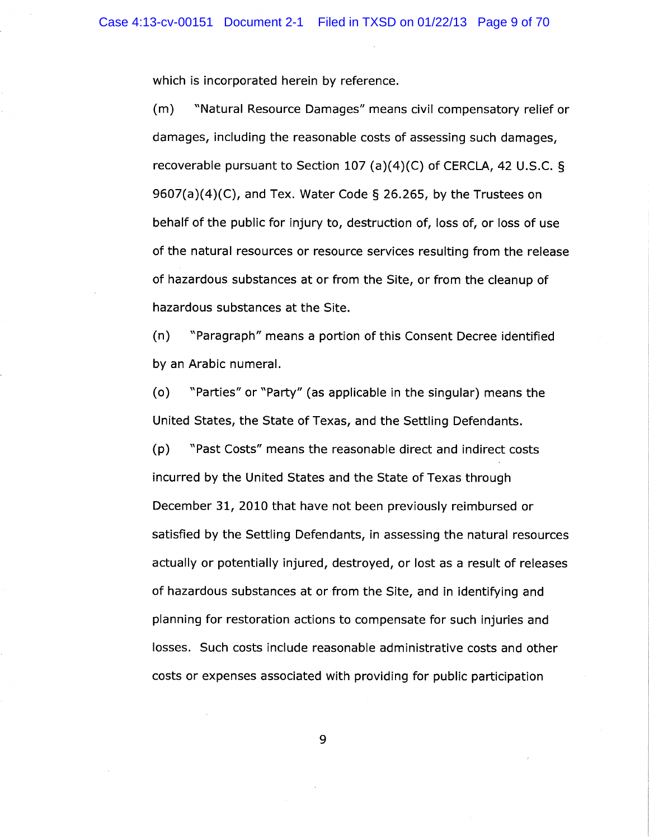which is incorporated herein by reference.

(m) "Natural Resource Damages" means civil compensatory relief or damages, including the reasonable costs of assessing such damages, recoverable pursuant to Section 107 (a)(4)(C) of CERCLA, 42 U.S.C. § 9607(a)(4)(C), and Tex. Water Code § 26.265, by the Trustees on behalf of the public for injury to, destruction of, loss of, or loss of use of the natural resources or resource services resulting from the release of hazardous substances at or from the Site, or from the cleanup of hazardous substances at the Site.

(n) "Paragraph" means a portion of this Consent Decree identified by an Arabic numeral.

(o) °Parties" or "Party" (as applicable in the singular) means the United States, the State of Texas, and the Settling Defendants.

(p) "Past Costs" means the reasonable direct and indirect costs incurred by the United States and the State of Texas through December 31, 2010 that have not been previously reimbursed or satisfied by the Settling Defendants, in assessing the natural resources actually or potentially injured, destroyed, or lost as a result of releases of hazardous substances at or from the Site, and in identifying and planning for restoration actions to compensate for such injuries and losses. Such costs include reasonable administrative costs and other costs or expenses associated with providing for public participation

<sup>~</sup>'~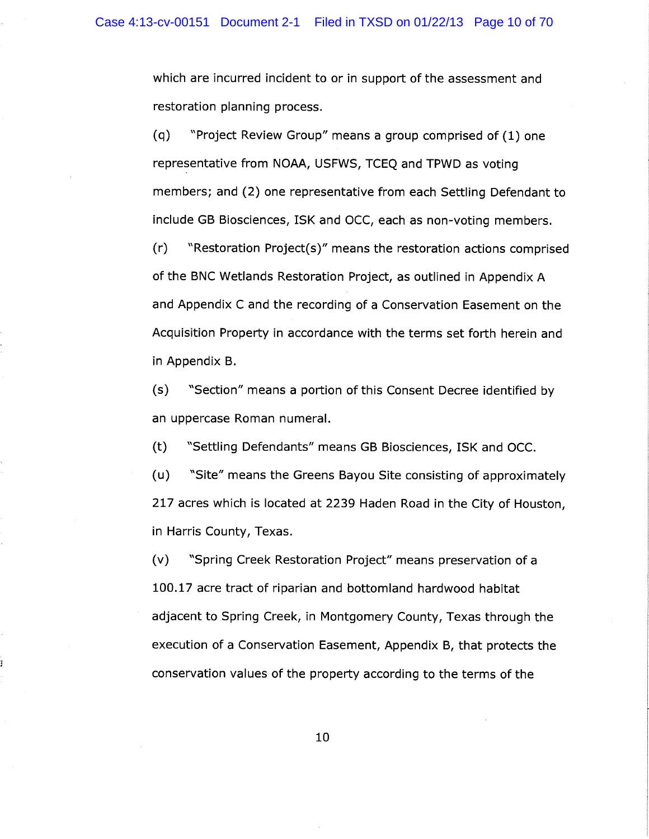which are incurred incident to or in support of the assessment and restoration planning process.

(q) "Project Review Group" means a group comprised of (1) one representative from NOAH, USFWS, TCEQ and TPWD as voting members; and (2) one representative from each Settling Defendant to include GB Biosciences, ISK and OCC, each as non-voting members.

(r) "Restoration Project(s)" means the restoration actions comprised of the BNC Wetlands Restoration Project, as outlined in Appendix A and Appendix C and the recording of a Conservation Easement on the Acquisition Property in accordance with the terms set forth herein and in Appendix B.

(s) "Section" means a portion of this Consent Decree identified by an uppercase Roman numeral.

(t) °Settling Defendants" means GB Biosciences, ISK and OCC.

(u) ~~Site" means the Greens Bayou Site consisting of approximately 217 acres which is located at 2239 Haden Road in the City of Houston, in Harris County, Texas.

(v) "Spring Creek Restoration Project" means preservation of a 100.17 acre tract of riparian and bottomland hardwood habitat adjacent to Spring Creek, in Montgomery County, Texas through the execution of a Conservation Easement, Appendix B, that protects the conservation values of the property according to the terms of the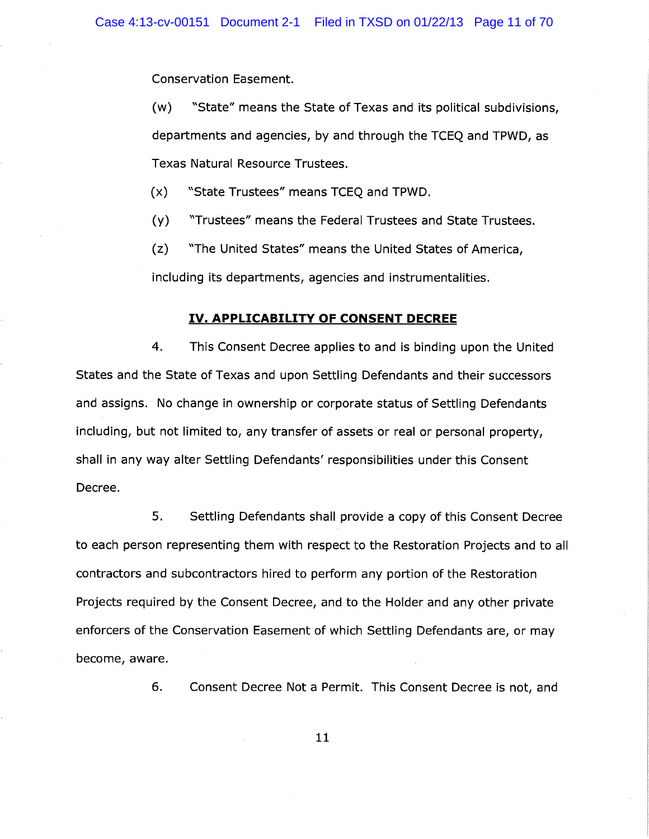Conservation Easement.

(w) "State" means the State of Texas and its political subdivisions, departments and agencies, by and through the TCEQ and TPWD, as Texas Natural Resource Trustees.

(x) ~~State Trustees" means TCEQ and TPWD.

(y) °Trustees" means the Federal Trustees and State Trustees.

(z) °The United States" means the United States of America,

including its departments, agencies and instrumentalities.

## IV. APPLICABILITY OF CONSENT DECREE

4. This Consent Decree applies to and is binding upon the United States and the State of Texas and upon Settling Defendants and their successors and assigns. No change in ownership or corporate status of Settling Defendants including, but not limited to, any transfer of assets or real or personal property, shall in any way alter Settling Defendants' responsibilities under this Consent Decree.

5. Settling Defendants shall provide a copy of this Consent Decree to each person representing them with respect to the Restoration Projects and to all contractors and subcontractors hired to perform any portion of the Restoration Projects required by the Consent Decree, and to the Holder and any other private enforcers of the Conservation Easement of which Settling Defendants are, or may become, aware.

6. Consent Decree Not a Permit. This Consent Decree is not, and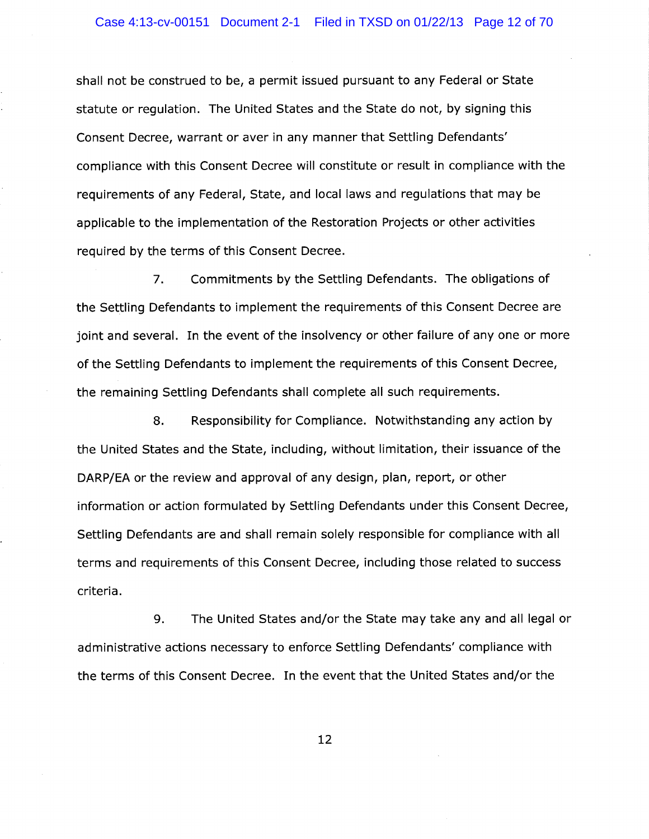shall not be construed to be, a permit issued pursuant to any Federal or State statute or regulation. The United States and the State do not, by signing this Consent Decree, warrant or aver in any manner that Settling Defendants' compliance with this Consent Decree will constitute or result in compliance with the requirements of any Federal, State, and local laws and regulations that may be applicable to the implementation of the Restoration Projects or other activities required by the terms of this Consent Decree.

7. Commitments by the Settling Defendants. The obligations of the Settling Defendants to implement the requirements of this Consent Decree are joint and several. In the event of the insolvency or other failure of any one or more of the Settling Defendants to implement the requirements of this Consent Decree, the remaining Settling Defendants shall complete all such requirements.

8. Responsibility for Compliance. Notwithstanding any action by the United States and the State, including, without limitation, their issuance of the DARP/EA or the review and approval of any design, plan, report, or other information or action formulated by Settling Defendants under this Consent Decree, Settling Defendants are and shall remain solely responsible for compliance with all terms and requirements of this Consent Decree, including those related to success criteria.

9. The United States and/or the State may take any and all legal or administrative actions necessary to enforce Settling Defendants' compliance with the terms of this Consent Decree. In the event that the United States and/or the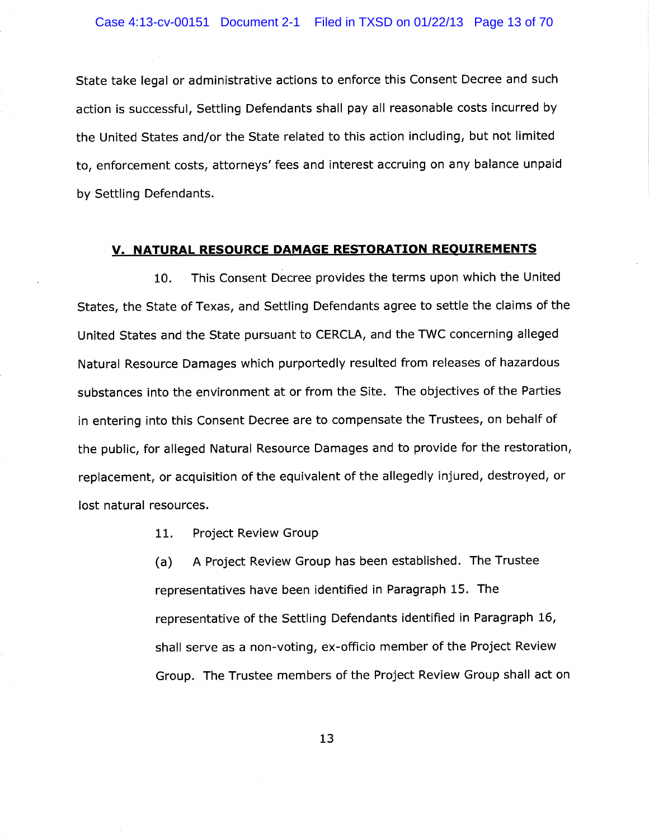State take legal or administrative actions to enforce this Consent Decree and such action is successful, Settling Defendants shall pay all reasonable costs incurred by the United States and/or the State related to this action including, but not limited to, enforcement costs, attorneys' fees and interest accruing on any balance unpaid by Settling Defendants.

#### V. NATURAL RESOURCE DAMAGE RESTORATION REQUIREMENTS

10. This Consent Decree provides the terms upon which the United States, the State of Texas, and Settling Defendants agree to settle the claims of the United States and the State pursuant to CERCLA, and the TWC concerning alleged Natural Resource Damages which purportedly resulted from releases of hazardous substances into the environment at or from the Site. The objectives of the Parties in entering into this Consent Decree are to compensate the Trustees, on behalf of the public, for alleged Natural Resource Damages and to provide for the restoration, replacement, or acquisition of the equivalent of the allegedly injured, destroyed, or lost natural resources.

11. Project Review Group

(a) A Project Review Group has been established. The Trustee representatives have been identified in Paragraph 15. The representative of the Settling Defendants identified in Paragraph 16, shall serve as a non-voting, ex-officio member of the Project Review Group. The Trustee members of the Project Review Group shall act on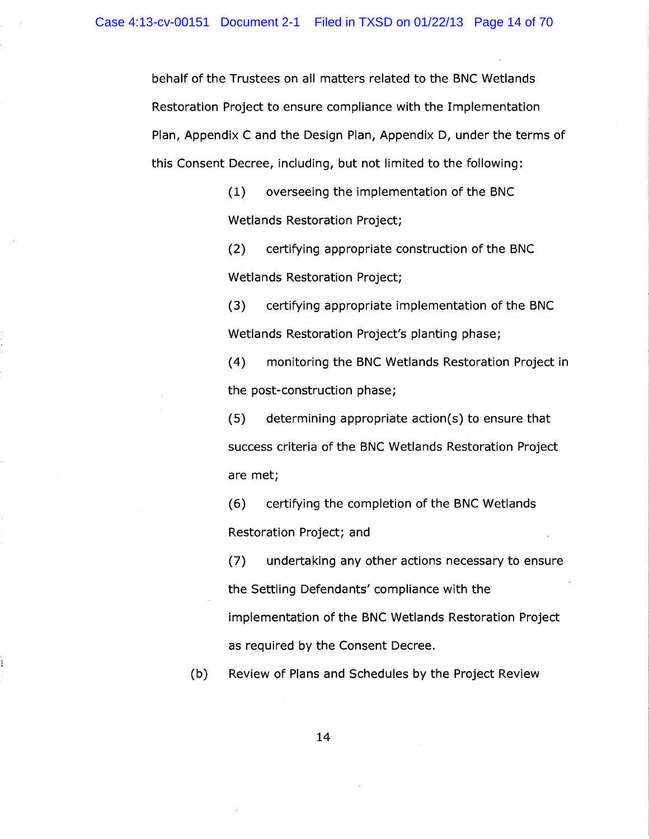behalf of the Trustees on all matters related to the BNC Wetlands Restoration Project to ensure compliance with the Implementation Plan, Appendix C and the Design Plan, Appendix D, under the terms of this Consent Decree, including, but not limited to the following:

> (1) overseeing the implementation of the BNC Wetlands Restoration Project;

(2) certifying appropriate construction of the BNC Wetlands Restoration Project;

(3) certifying appropriate implementation of the BNC Wetlands Restoration Project's planting phase;

(4) monitoring the BNC Wetlands Restoration Project in the post-construction phase;

 $(5)$  determining appropriate action(s) to ensure that success criteria of the BNC Wetlands Restoration Project are met;

(6) certifying the completion of the BNC Wetlands Restoration Project; and

(7) undertaking any other actions necessary to ensure the Settling Defendants' compliance with the implementation of the BNC Wetlands Restoration Project as required by the Consent Decree.

(b) Review of Plans and Schedules by the Project Review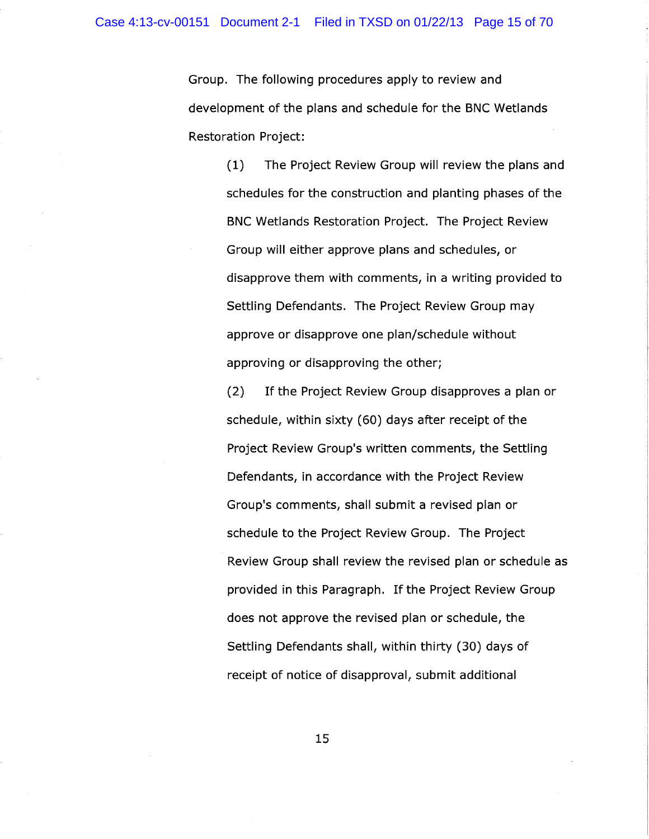Group. The following procedures apply to review and development of the plans and schedule for the BNC Wetlands Restoration Project:

> (1) The Project Review Group will review the plans and schedules for the construction and planting phases of the BNC Wetlands Restoration Project. The Project Review Group will either approve plans and schedules, or disapprove them with comments, in a writing provided to Settling Defendants. The Project Review Group may approve or disapprove one plan/schedule without approving or disapproving the other;

(2) If the Project Review Group disapproves a plan or schedule, within sixty (60) days after receipt of the Project Review Group's written comments, the Settling Defendants, in accordance with the Project Review Group's comments, shall submit a revised plan or schedule to the Project Review Group. The Project Review Group shall review the revised plan or schedule as provided in this Paragraph. If the Project Review Group does not approve the revised plan or schedule, the Settling Defendants shall, within thirty (30) days of receipt of notice of disapproval, submit additional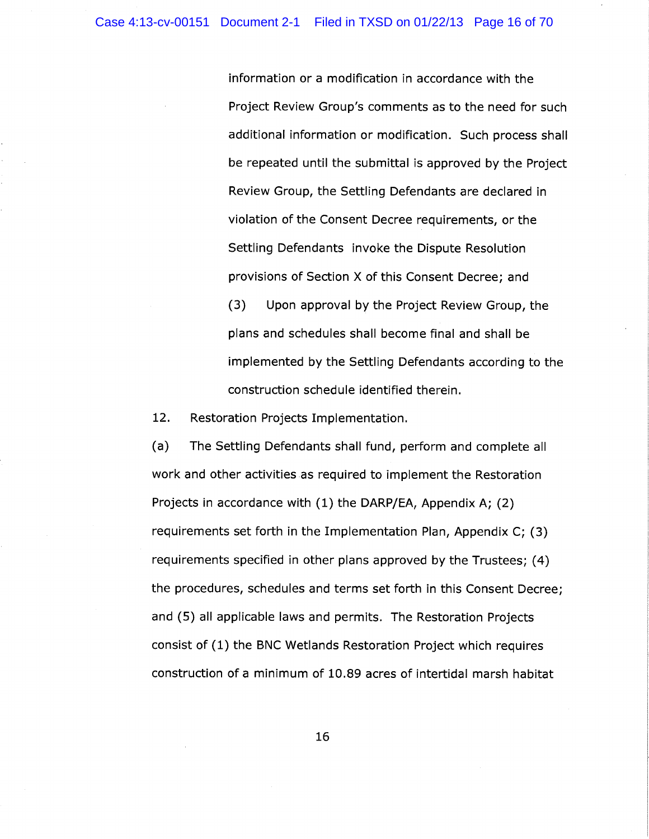information or a modification in accordance with the Project Review Group's comments as to the need for such additional information or modification. Such process shall be repeated until the submittal is approved by the Project Review Group, the Settling Defendants are declared in violation of the Consent Decree requirements, or the Settling Defendants invoke the Dispute Resolution provisions of Section X of this Consent Decree; and (3) Upon approval by the Project Review Group, the plans and schedules shall become final and shall be

implemented by the Settling Defendants according to the

construction schedule identified therein.

12. Restoration Projects Implementation.

(a) The Settling Defendants shall fund, perform and complete all work and other activities as required to implement the Restoration Projects in accordance with (1) the DARP/EA, Appendix A; (2) requirements set forth in the Implementation Plan, Appendix C; (3) requirements specified in other plans approved by the Trustees; (4) the procedures, schedules and terms set forth in this Consent Decree; and (5) all applicable laws and permits. The Restoration Projects consist of (1) the BNC Wetlands Restoration Project which requires construction of a minimum of 10.89 acres of intertidal marsh habitat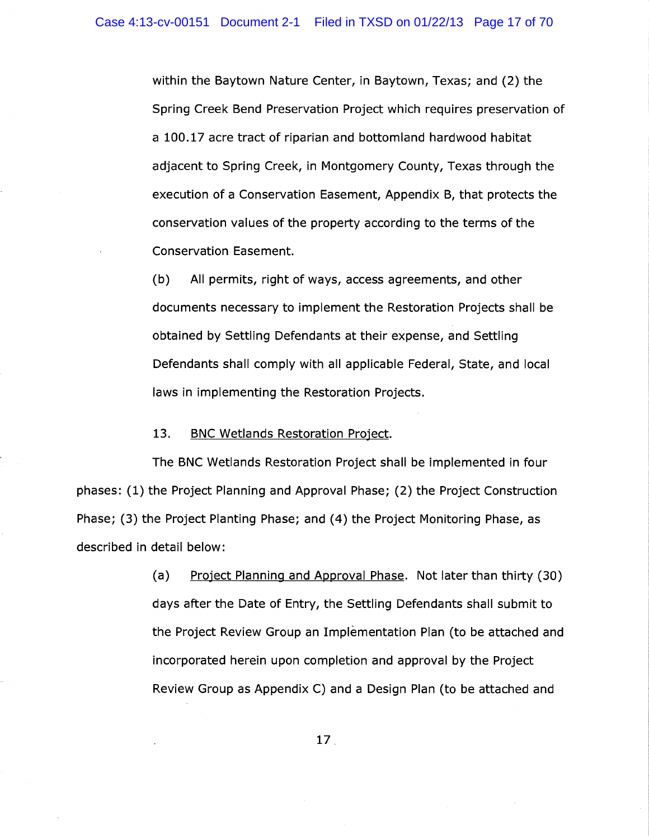within the Baytown Nature Center, in Baytown, Texas; and (2) the Spring Creek Bend Preservation Project which requires preservation of a 100.17 acre tract of riparian and bottomland hardwood habitat adjacent to Spring Creek, in Montgomery County, Texas through the execution of a Conservation Easement, Appendix B, that protects the conservation values of the property according to the terms of the Conservation Easement.

(b) All permits, right of ways, access agreements, and other documents necessary to implement the Restoration Projects shall be obtained by Settling Defendants at their expense, and Settling Defendants shall comply with all applicable Federal, State, and local laws in implementing the Restoration Projects.

### 13. BNC Wetlands Restoration Project.

The BNC Wetlands Restoration Project shall be implemented in four phases: (1) the Project Planning and Approval Phase; (2) the Project Construction Phase; (3) the Project Planting Phase; and (4) the Project Monitoring Phase, as described in detail below:

> (a) Project Planning and Approval Phase. Not later than thirty (30) days after the Date of Entry, the Settling Defendants shall submit to the Project Review Group an Implementation Plan (to be attached and incorporated herein upon completion and approval by the Project Review Group as Appendix C) and a Design Plan (to be attached and

> > 17.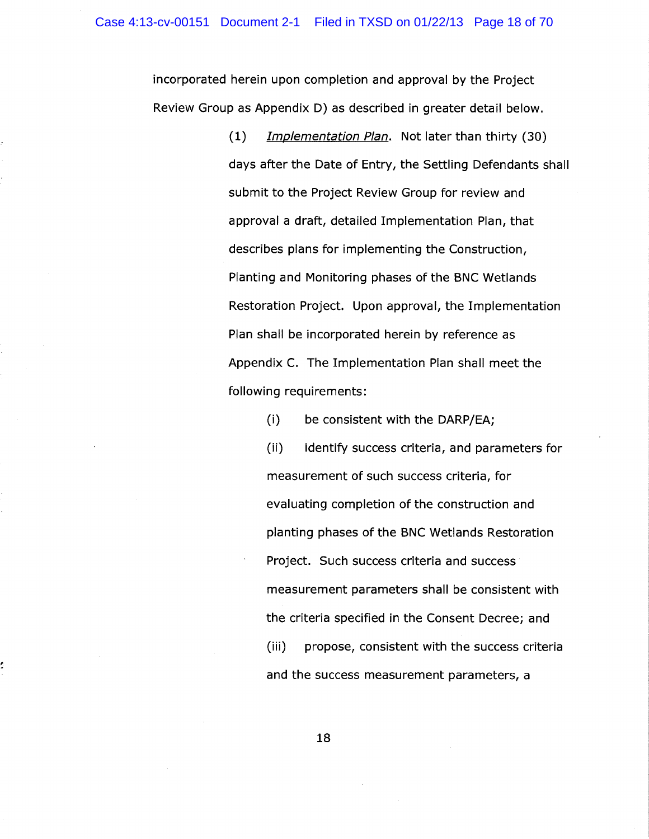incorporated herein upon completion and approval by the Project Review Group as Appendix D) as described in greater detail below.

> (1) Implementation Plan. Not later than thirty (30) days after the Date of Entry, the Settling Defendants shall submit to the Project Review Group for review and approval a draft, detailed Implementation Plan, that describes plans for implementing the Construction, Planting and Monitoring phases of the BNC Wetlands Restoration Project. Upon approval, the Implementation Plan shall be incorporated herein by reference as Appendix C. The Implementation Plan shall meet the following requirements:

> > (i) be consistent with the DARP/EA;

(ii) identify success criteria, and parameters for measurement of such success criteria, for evaluating completion of the construction and planting phases of the BNC Wetlands Restoration Project. Such success criteria and success measurement parameters shall be consistent with the criteria specified in the Consent Decree; and (iii) propose, consistent with the success criteria and the success measurement parameters, a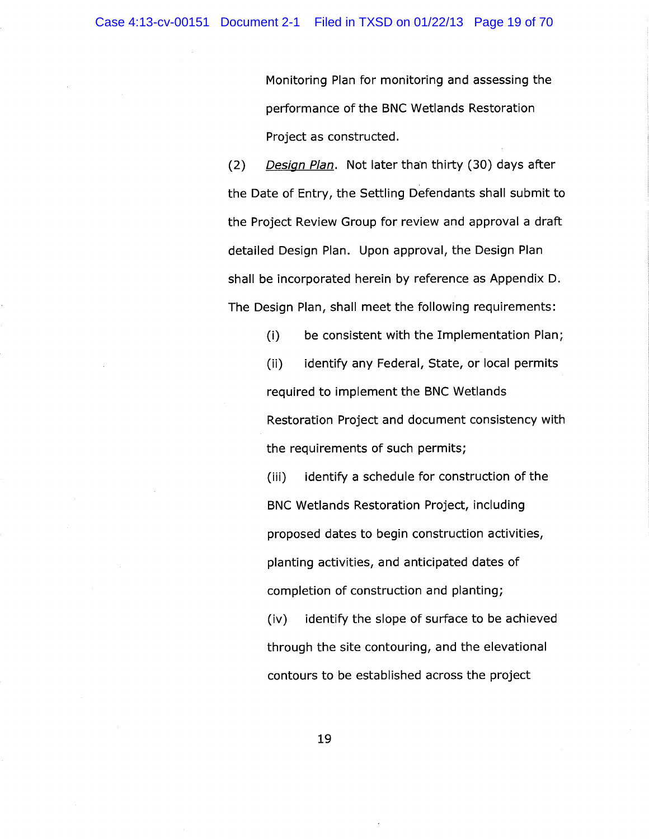Monitoring Plan for monitoring and assessing the performance of the BNC Wetlands Restoration Project as constructed.

(2) Design Plan. Not later than thirty (30) days after the Date of Entry, the Settling Defendants shall submit to the Project Review Group for review and approval a draft detailed Design Plan. Upon approval, the Design Plan shall be incorporated herein by reference as Appendix D. The Design Plan, shall meet the following requirements:

(i) be consistent with the Implementation Plan;

(ii) identify any Federal, State, or local permits required to implement the BNC Wetlands Restoration Project and document consistency with the requirements of such permits;

(iii) identify a schedule for construction of the BNC Wetlands Restoration Project, including proposed dates to begin construction activities, planting activities, and anticipated dates of completion of construction and planting;

(iv) identify the slope of surface to be achieved through the site contouring, and the elevational contours to be established across the project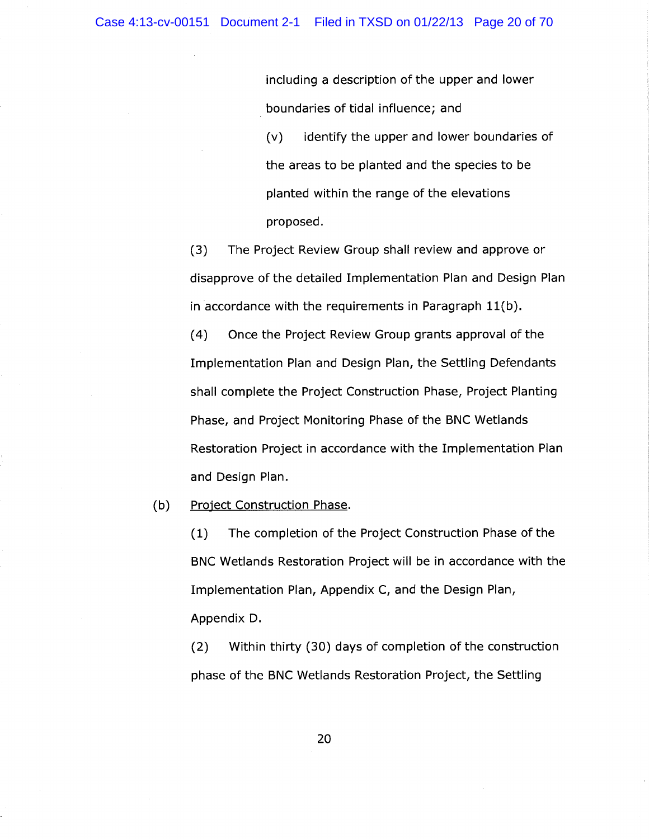including a description of the upper and lower boundaries of tidal influence; and (v) identify the upper and lower boundaries of the areas to be planted and the species to be planted within the range of the elevations proposed.

(3) The Project Review Group shall review and approve or disapprove of the detailed Implementation Plan and Design Plan in accordance with the requirements in Paragraph 11(b).

(4) Once the Project Review Group grants approval of the Implementation Plan and Design Plan, the Settling Defendants shall complete the Project Construction Phase, Project Planting Phase, and Project Monitoring Phase of the BNC Wetlands Restoration Project in accordance with the Implementation Plan and Design Plan.

(b) Project Construction Phase.

(1) The completion of the Project Construction Phase of the BNC Wetlands Restoration Project will be in accordance with the Implementation Plan, Appendix C, and the Design Plan, Appendix D.

(2) Within thirty (30) days of completion of the construction phase of the BNC Wetlands Restoration Project, the Settling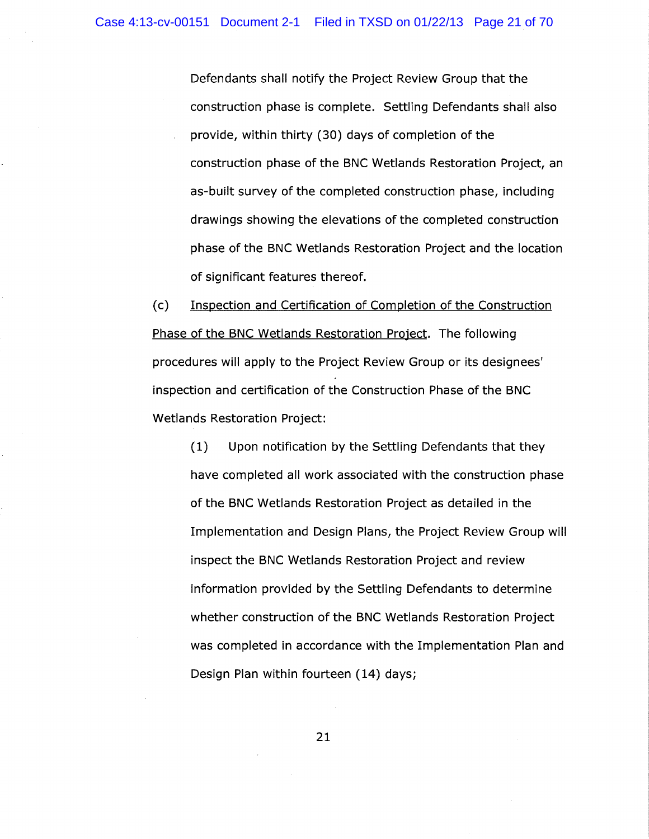Defendants shall notify the Project Review Group that the construction phase is complete. Settling Defendants shall also provide, within thirty (30) days of completion of the construction phase of the BNC Wetlands Restoration Project, an as-built survey of the completed construction phase, including drawings showing the elevations of the completed construction phase of the BNC Wetlands Restoration Project and the location of significant features thereof.

(c) Inspection and Certification of Completion of the Construction Phase of the BNC Wetlands Restoration Project. The following procedures will apply to the Project Review Group or its designees' inspection and certification of the Construction Phase of the BNC Wetlands Restoration Project:

(1) Upon notification by the Settling Defendants that they have completed all work associated with the construction phase of the BNC Wetlands Restoration Project as detailed in the Implementation and Design Plans, the Project Review Group will inspect the BNC Wetlands Restoration Project and review information provided by the Settling Defendants to determine whether construction of the BNC Wetlands Restoration Project was completed in accordance with the Implementation Plan and Design Plan within fourteen (14) days;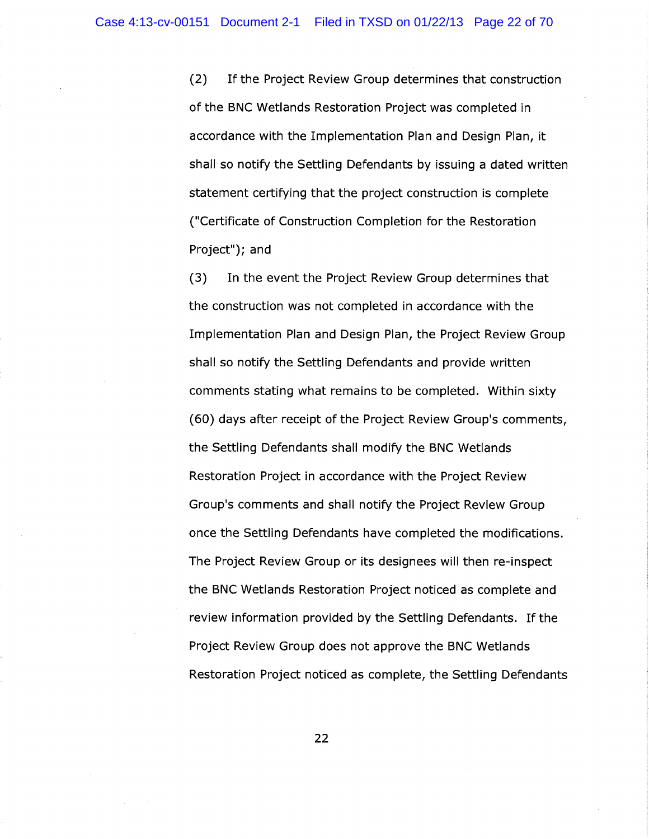(2) If the Project Review Group determines that construction of the BNC Wetlands Restoration Project was completed in accordance with the Implementation Plan and Design Plan, it shall so notify the Settling Defendants by issuing a dated written statement certifying that the project construction is complete ("Certificate of Construction Completion for the Restoration Project"); and

(3) In the event the Project Review Group determines that the construction was not completed in accordance with the Implementation Plan and Design Plan, the Project Review Group shall so notify the Settling Defendants and provide written comments stating what remains to be completed. Within sixty (60) days after receipt of the Project Review Group's comments, the Settling Defendants shall modify the BNC Wetlands Restoration Project in accordance with the Project Review Group's comments and shall notify the Project Review Group once the Settling Defendants have completed the modifications. The Project Review Group or its designees will then re-inspect the BNC Wetlands Restoration Project noticed as complete and review information provided by the Settling Defendants. If the Project Review Group does not approve the BNC Wetlands Restoration Project noticed as complete, the Settling Defendants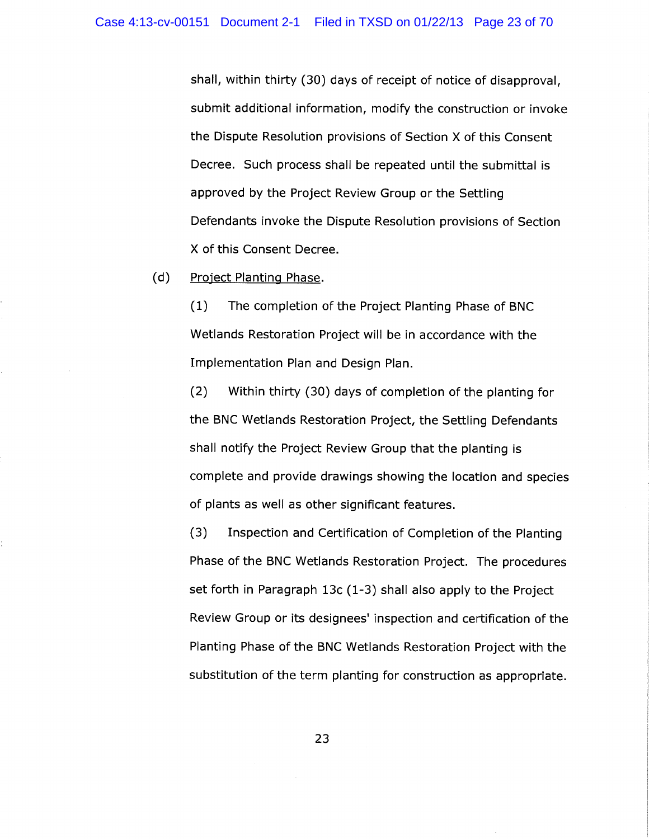shall, within thirty (30) days of receipt of notice of disapproval, submit additional information, modify the construction or invoke the Dispute Resolution provisions of Section X of this Consent Decree. Such process shall be repeated until the submittal is approved by the Project Review Group or the Settling Defendants invoke the Dispute Resolution provisions of Section X of this Consent Decree.

(d) Project Planting Phase.

(1) The completion of the Project Planting Phase of BNC Wetlands Restoration Project will be in accordance with the Implementation Plan and Design Plan.

(2) Within thirty (30) days of completion of the planting for the BNC Wetlands Restoration Project, the Settling Defendants shall notify the Project Review Group that the planting is complete and provide drawings showing the location and species of plants as well as other significant features.

(3) Inspection and Certification of Completion of the Planting Phase of the BNC Wetlands Restoration Project. The procedures set forth in Paragraph 13c (1-3) shall also apply to the Project Review Group or its designees' inspection and certification of the Planting Phase of the BNC Wetlands Restoration Project with the substitution of the term planting for construction as appropriate.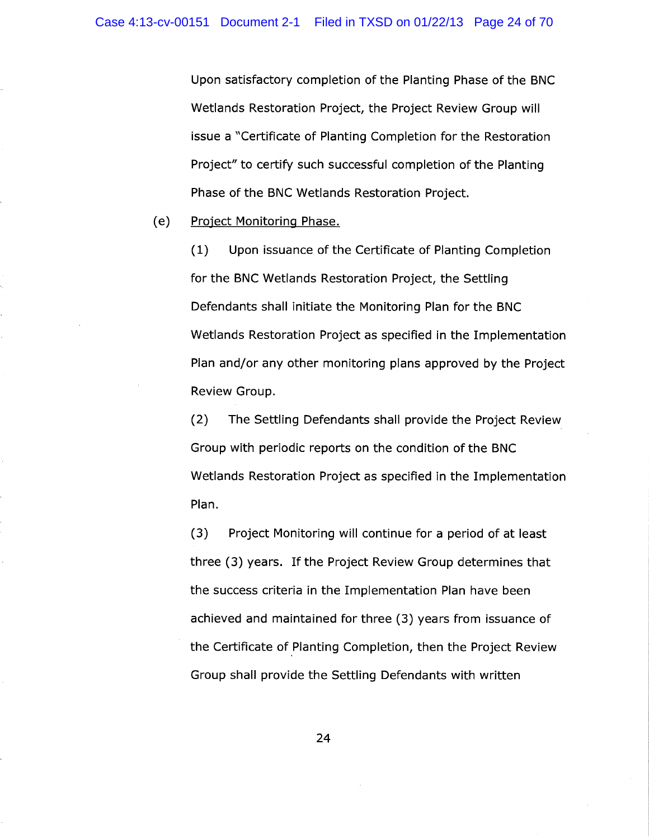Upon satisfactory completion of the Planting Phase of the BNC Wetlands Restoration Project, the Project Review Group will issue a "Certificate of Planting Completion for the Restoration Project" to certify such successful completion of the Planting Phase of the BNC Wetlands Restoration Project.

(e) Project Monitoring Phase.

(1) Upon issuance of the Certificate of Planting Completion for the BNC Wetlands Restoration Project, the Settling Defendants shall initiate the Monitoring Plan for the BNC Wetlands Restoration Project as specified in the Implementation Plan and/or any other monitoring plans approved by the Project Review Group.

(2) The Settling Defendants shall provide the Project Review Group with periodic reports on the condition of the BNC Wetlands Restoration Project as specified in the Implementation Plan.

(3) Project Monitoring will continue for a period of at least three (3) years. If the Project Review Group determines that the success criteria in the Implementation Plan have been achieved and maintained for three (3) years from issuance of the Certificate of Planting Completion, then the Project Review Group shall provide the Settling Defendants with written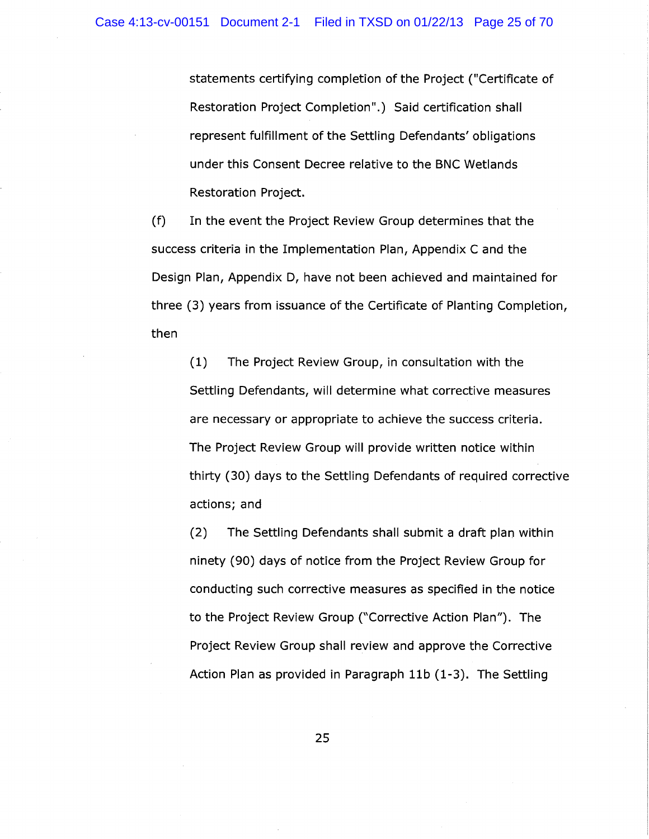statements certifying completion of the Project ("Certificate of Restoration Project Completion".) Said certification shall represent fulfillment of the Settling Defendants' obligations under this Consent Decree relative to the BNC Wetlands Restoration Project.

(f) In the event the Project Review Group determines that the success criteria in the Implementation Plan, Appendix C and the Design Plan, Appendix D, have not been achieved and maintained for three (3) years from issuance of the Certificate of Planting Completion, then

(1) The Project Review Group, in consultation with the Settling Defendants, will determine what corrective measures are necessary or appropriate to achieve the success criteria. The Project Review Group will provide written notice within thirty (30) days to the Settling Defendants of required corrective actions; and

(2) The Settling Defendants shall submit a draft plan within ninety (90) days of notice from the Project Review Group for conducting such corrective measures as specified in the notice to the Project Review Group ("Corrective Action Plan"). The Project Review Group shall review and approve the Corrective Action Plan as provided in Paragraph 11b (1-3). The Settling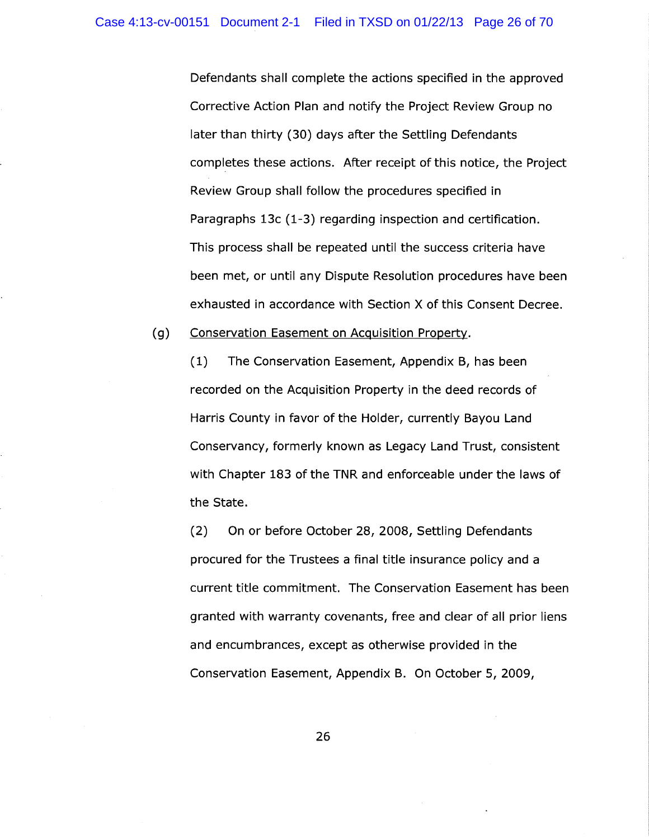Defendants shall complete the actions specified in the approved Corrective Action Plan and notify the Project Review Group no later than thirty (30) days after the Settling Defendants completes these actions. After receipt of this notice, the Project Review Group shall follow the procedures specified in Paragraphs 13c (1-3) regarding inspection and certification. This process shall be repeated until the success criteria have been met, or until any Dispute Resolution procedures have been exhausted in accordance with Section X of this Consent Decree.

(g) Conservation Easement on Acquisition Property.

(1) The Conservation Easement, Appendix B, has been recorded on the Acquisition Property in the deed records of Harris County in favor of the Holder, currently Bayou Land Conservancy, formerly known as Legacy Land Trust, consistent with Chapter 183 of the TNR and enforceable under the laws of the State.

(2) On or before October 28, 2008, Settling Defendants procured for the Trustees a final title insurance policy and a current title commitment. The Conservation Easement has been granted with warranty covenants, free and clear of all prior liens and encumbrances, except as otherwise provided in the Conservation Easement, Appendix B. On October 5, 2009,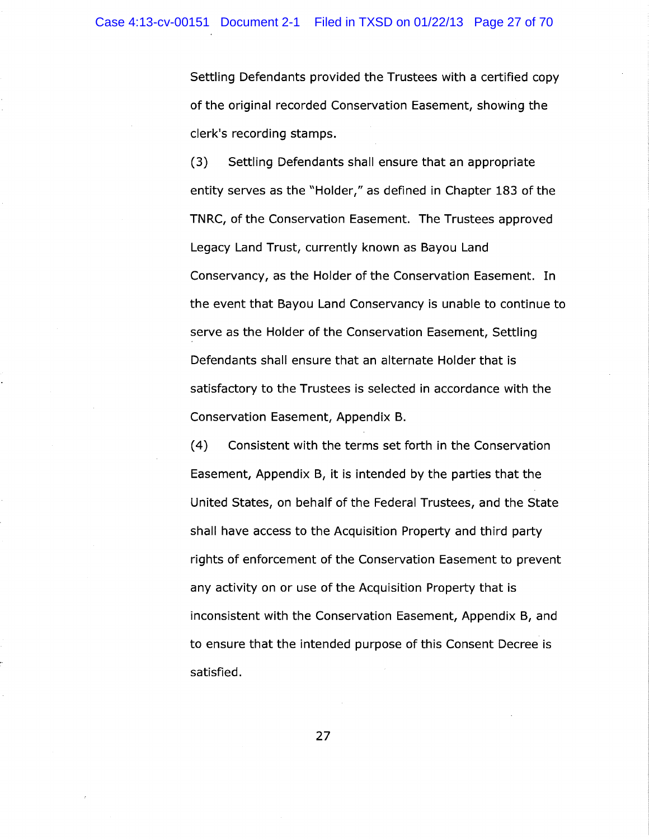Settling Defendants provided the Trustees with a certified copy of the original recorded Conservation Easement, showing the clerk's recording stamps.

(3) Settling Defendants shall ensure that an appropriate entity serves as the "Holder," as defined in Chapter 183 of the TNRC, of the Conservation Easement. The Trustees approved Legacy Land Trust, currently known as Bayou Land Conservancy, as the Holder of the Conservation Easement. In the event that Bayou Land Conservancy is unable to continue to serve as the Holder of the Conservation Easement, Settling Defendants shall ensure that an alternate Holder that is satisfactory to the Trustees is selected in accordance with the Conservation Easement, Appendix B.

(4) Consistent with the terms set forth in the Conservation Easement, Appendix B, it is intended by the parties that the United States, on behalf of the Federal Trustees, and the State shall have access to the Acquisition Property and third party rights of enforcement of the Conservation Easement to prevent any activity on or use of the Acquisition Property that is inconsistent with the Conservation Easement, Appendix B, and to ensure that the intended purpose of this Consent Decree is satisfied.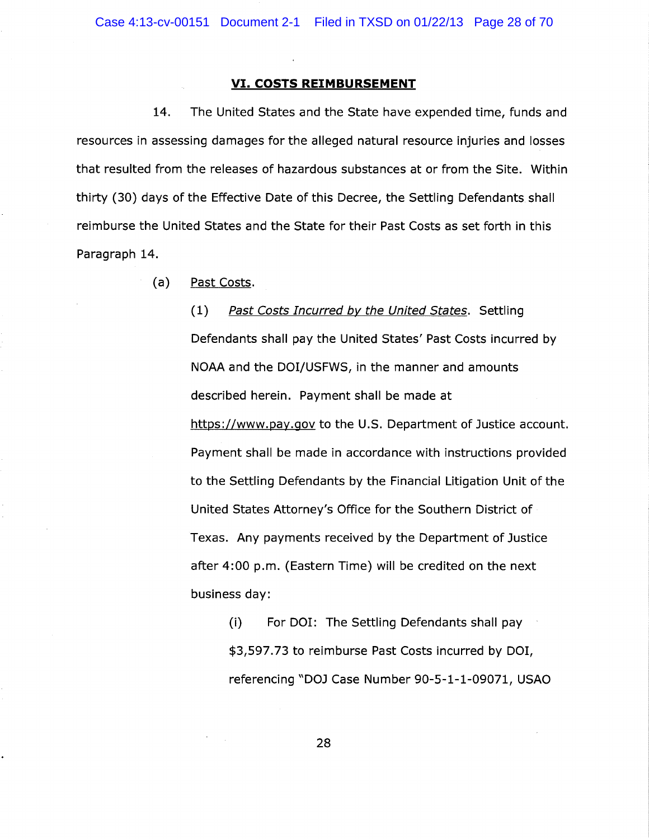#### VI. COSTS REIMBURSEMENT

14. The United States and the State have expended time, funds and resources in assessing damages for the alleged natural resource injuries and losses that resulted from the releases of hazardous substances at or from the Site. Within thirty (30) days of the Effective Date of this Decree, the Settling Defendants. shall reimburse the United States and the State for their Past Costs as set forth in this Paragraph 14.

(a) Past Costs.

(1) Past Costs Incurred by the United States. Settling Defendants shall pay the United States' Past Costs incurred by NOAA and the DOI/USFWS, in the manner and amounts described herein. Payment shall be made at https://www.pay.gov to the U.S. Department of Justice account. Payment shall be made in accordance with instructions provided to the Settling Defendants by the Financial Litigation Unit of the United States Attorney's OfFice for the Southern District of Texas. Any payments received by the Department of Justice after 4:00 p.m. (Eastern Time) will be credited on the next business day:

(i) For DOI: The Settling Defendants shall pay \$3,597.73 to reimburse Past Costs incurred by DOI, referencing °DOJ Case Number 90-5-1-1-09071, USAO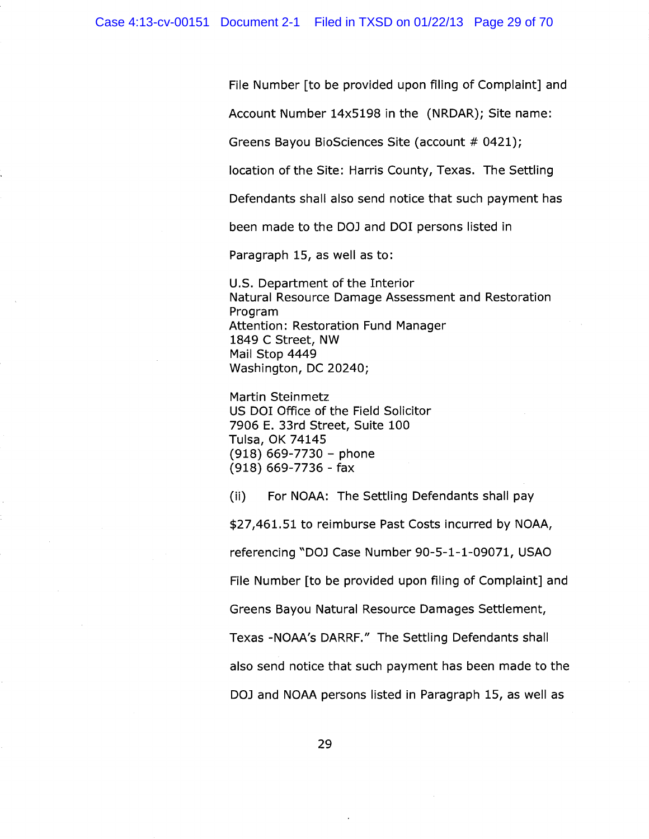File Number [to be provided upon filing of Complaint] and

Account Number 14x5198 in the (NRDAR); Site name:

Greens Bayou BioSciences Site (account # 0421);

location of the Site: Harris County, Texas. The Settling

Defendants shall also send notice that such payment has

been made to the DOJ and DOI persons listed in

Paragraph 15, as well as to:

U.S. Department of the Interior Natural Resource Damage Assessment and Restoration Program Attention: Restoration Fund Manager 1849 C Street, NW Mail Stop 4449 Washington, DC 20240;

Martin Steinmetz US DOI Office of the Field Solicitor 7906 E. 33rd Street, Suite 100 Tulsa, OK 74145  $(918) 669 - 7730 - phone$ (918) 669-7736 - fax

(ii) For NOAA: The Settling Defendants shall pay

\$27,461.51 to reimburse Past Costs incurred by NOAA,

referencing °DOJ Case Number 90-5-1-1-09071, USAO

File Number [to be provided upon filing of Complaint] and

Greens Bayou Natural Resource Damages Settlement,

Texas -NOAA's DARRF." The Settling Defendants shall

also send notice that such payment has been made to the

DOJ and NOAA persons listed in Paragraph 15, as well as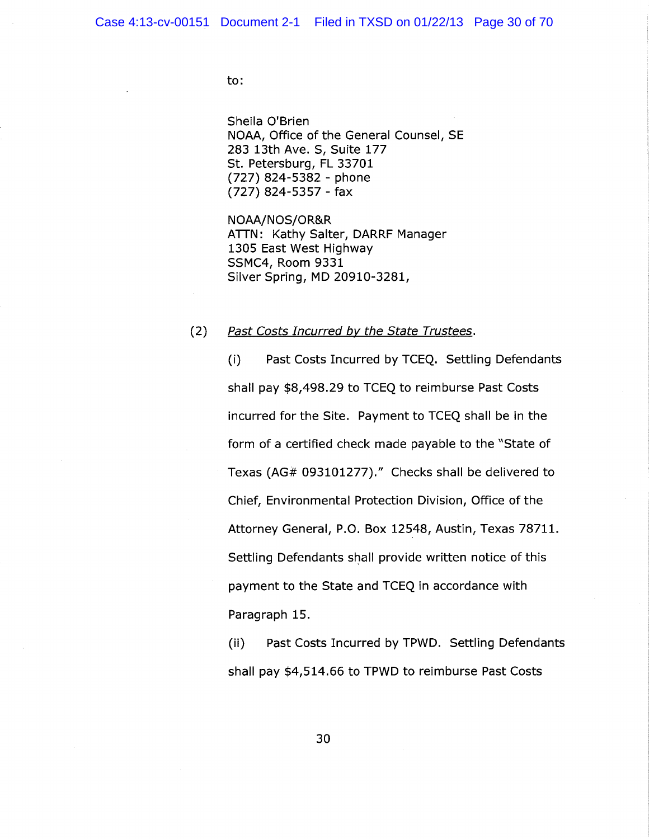to:

Sheila O'Brien NOAA, Office of the General Counsel, SE 283 13th Ave. S, Suite 177 St. Petersburg, FL 33701 (727) 824-5382 - phone (727) 824-5357 - fax

NOAA/NOS/OR&R ATTN: Kathy Salter, DARRF Manager 1305 East West Highway SSMC4, Room 9331 Silver Spring, MD 20910-3281,

(2) Past Costs Incurred by the State Trustees.

(i) Past Costs Incurred by TCEQ. Settling Defendants shall pay \$8,498.29 to TCEQ to reimburse Past Costs incurred for the Site. Payment to TCEQ shall be in the form of a certified check made payable to the "State of Texas (AG# 093101277)." Checks shall be delivered to Chief, Environmental Protection Division, Office of the Attorney General, P.O. Box 12548, Austin, Texas 78711. Settling Defendants shall provide written notice of this payment to the State and TCEQ in accordance with Paragraph 15.

(ii) Past Costs Incurred by TPWD. Settling Defendants shall pay \$4,514.66 to TPWD to reimburse Past Costs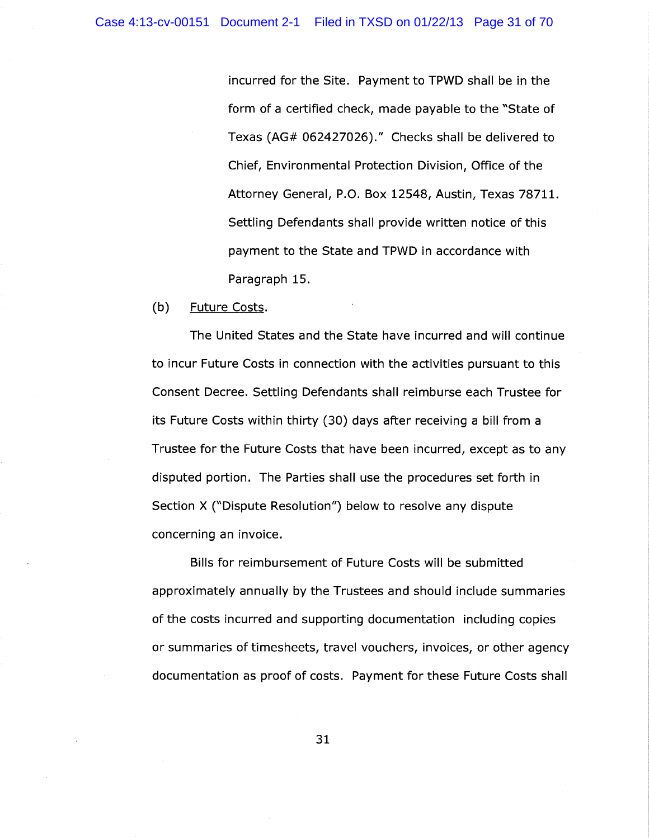incurred for the Site. Payment to TPWD shall be in the form of a certified check, made payable to the "State of Texas (AG# 062427026)." Checks shall be delivered to Chief, Environmental Protection Division, Office of the Attorney General, P.O. Box 12548, Austin, Texas 78711. Settling Defendants shall provide written notice of this payment to the State and TPWD in accordance with Paragraph 15.

#### (b) Future Costs.

The United States and the State have incurred and will continue to incur Future Costs in connection with the activities pursuant to this Consent Decree. Settling Defendants shall reimburse each Trustee for its Future Costs within thirty (30) days after receiving a bill from a Trustee for the Future Costs that have been incurred, except as to any disputed portion. The Parties shall use the procedures set forth in Section X (°Dispute Resolution") below to resolve any dispute concerning an invoice.

Bills for reimbursement of Future Costs will be submitted approximately annually by the Trustees and should include summaries of the costs incurred and supporting documentation including copies or summaries of timesheets, travel vouchers, invoices, or other agency documentation as proof of costs. Payment for these Future Costs shall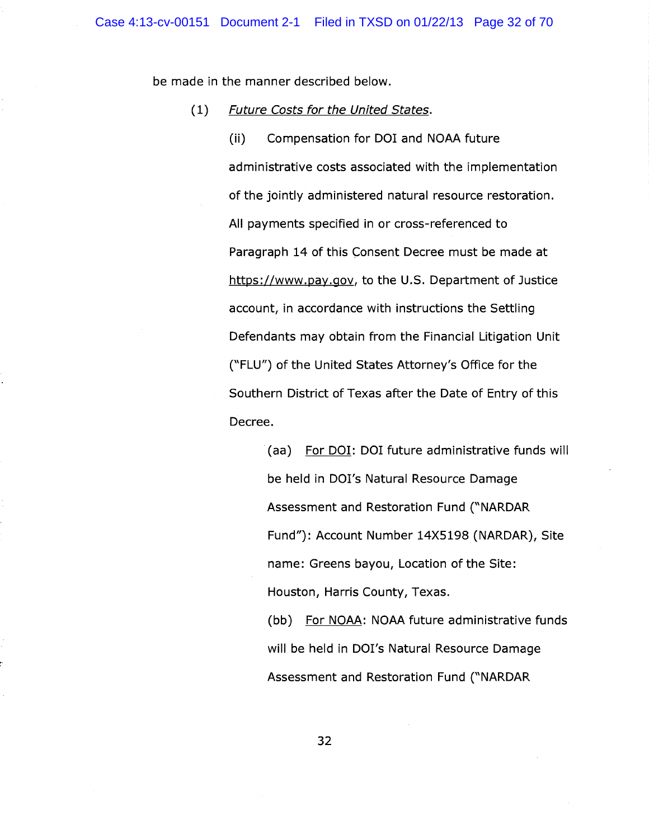be made in the manner described below.

#### (1) Future Costs for the United States.

(ii) Compensation for DOI and NOAA future administrative costs associated with the implementation of the jointly administered natural resource restoration. All payments specified in or cross-referenced to Paragraph 14 of this Consent Decree must be made at https://www.pay.gov, to the U.S. Department of Justice account, in accordance with instructions the Settling Defendants may obtain from the Financial Litigation Unit (°FLU") of the United States Attorney's Office for the Southern District of Texas after the Date of Entry of this Decree.

> (aa) For DOI: DOI future administrative funds will be held in DOI's Natural Resource Damage Assessment and Restoration Fund ("NARDAR Fund"): Account Number 14X5198 (NARDAR), Site name: Greens bayou, Location of the Site: Houston, Harris County, Texas.

> (bb) For NOAA: NOAA future administrative funds will be held in DOI's Natural Resource Damage Assessment and Restoration Fund ("NARDAR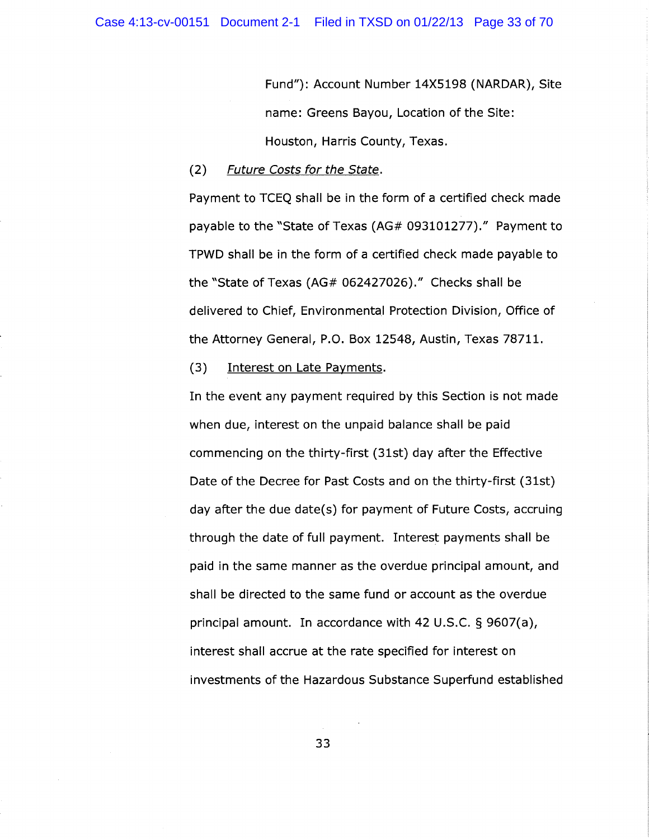Fund"): Account Number 14X5198 (NARDAR), Site name: Greens Bayou, Location of the Site: Houston, Harris County, Texas.

### (2) Future Costs for the State.

Payment to TCEQ shall be in the form of a certified check made payable to the °State of Texas (AG# 093101277)." Payment to TPWD shall be in the form of a certified check made payable to the °State of Texas (AG# 062427026)." Checks shall be delivered to Chief, Environmental Protection Division, Office of the Attorney General, P.O. Box 12548, Austin, Texas 78711.

## (3) Interest on Late Payments.

In the event any payment required by this Section is not made when due, interest on the unpaid balance shall be paid commencing on the thirty-first (31st) day after the EfFective Date of the Decree for Past Costs and on the thirty-first (31st) day after the due date(s) for payment of Future Costs, accruing through the date of full payment. Interest payments shall be paid in the same manner as the overdue principal amount, and shall be directed to the same fund or account as the overdue principal amount. In accordance with 42 U.S.C. § 9607(a), interest shall accrue at the rate specified for interest on investments of the Hazardous Substance Superfund established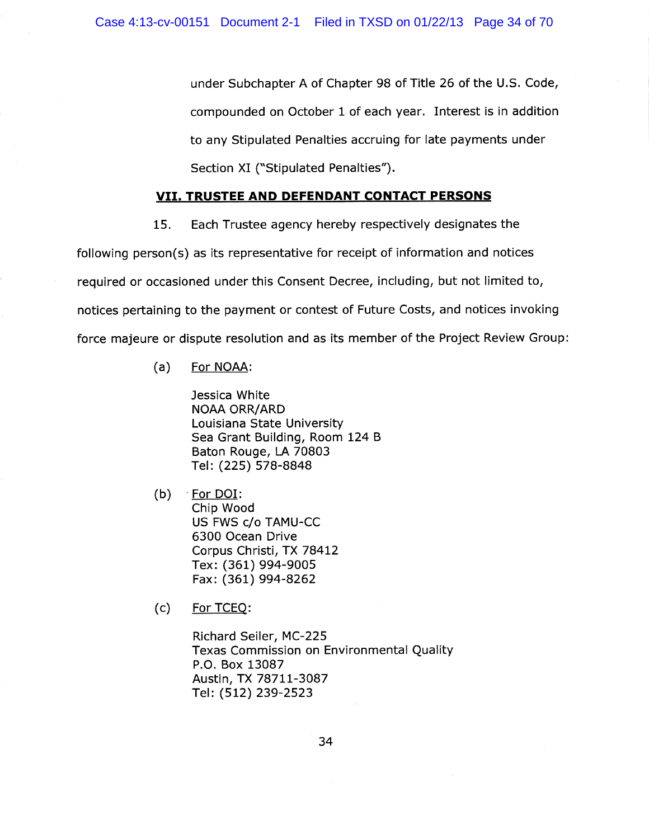under Subchapter A of Chapter 98 of Title 26 of the U.S. Code, compounded on October 1 of each year. Interest is in addition to any Stipulated Penalties accruing for late payments under Section XI ("Stipulated Penalties").

## VII. TRUSTEE AND DEFENDANT CONTACT PERSONS

15. Each Trustee agency hereby respectively designates the

following person(s) as its representative for receipt of information and notices required or occasioned under this Consent Decree, including, but not limited to, notices pertaining to the payment or contest of Future Costs, and notices invoking force majeure or dispute resolution and as its member of the Project Review Group:

(a) For NOAA:

Jessica White NOAA ORR/ARD Louisiana State University Sea Grant Building, Room 124 B Baton Rouge, LA 70803 Tel: (225) 578-8848

 $(b)$  For DOI: Chip Wood US FWS c/o TAMU-CC 6300 Ocean Drive Corpus Christi, TX 78412 Tex: (361) 994-9005 Fax: (361) 994-8262

(c) For TCE

Richard Seiler, MC-225 Texas Commission on Environmental Quality P.O. Box 13087 Austin, TX 78711-3087 Tel: (512) 239-2523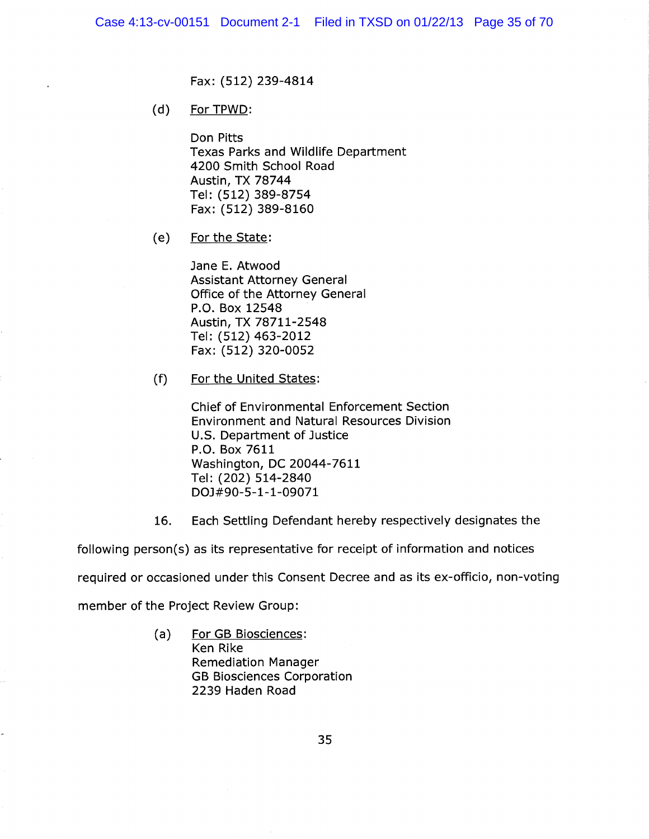Fax: (512) 239-4814

(d) For TPWD:

Don Pitts Texas Parks and Wildlife Department 4200 Smith School Road Austin, TX 78744 Tel: (512) 389-8754 Fax: (512) 389-8160

(e) For the State:

Jane E. Atwood Assistant Attorney General Office of the Attorney General P.O. Box 12548 Austin, TX 78711-2548 Tel: (512) 463-2012 Fax: (512) 320-0052

(f) For the United States:

Chief of Environmental Enforcement Section Environment and Natural Resources Division U.S. Department of Justice P.O. Box 7611 Washington, DC 20044-7611 Tel: (202) 514-2840 DOJ#90-5-1-1-09071

16. Each Settling Defendant hereby respectively designates the

following person(s) as its representative for receipt of information and notices

required or occasioned under this Consent Decree and as its ex-officio, non-voting

member of the Project Review Group:

(a) For GB Biosciences: Ken Rike Remediation Manager GB Biosciences Corporation 2239 Haden Road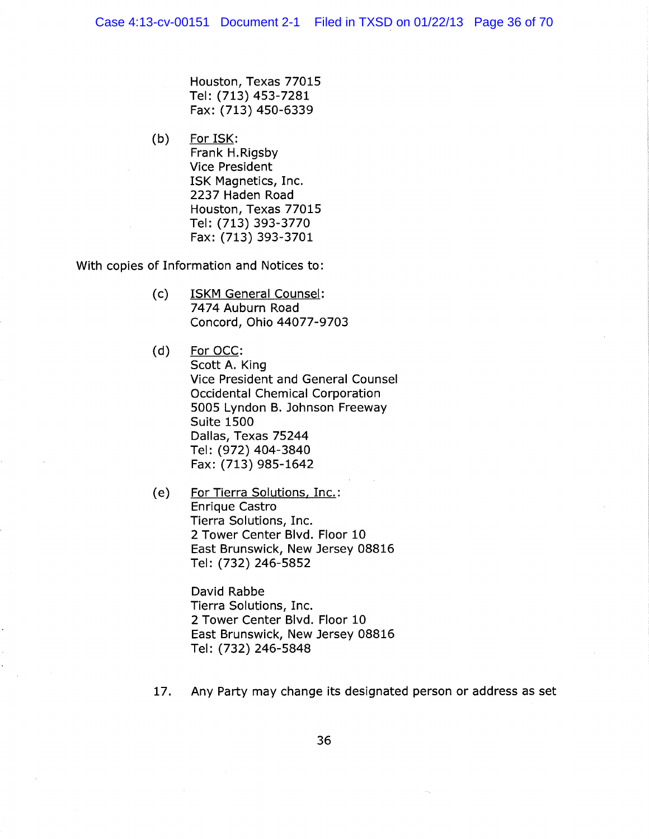Houston, Texas 77015 Tel: (713) 453-7281 Fax: (713) 450-6339

(b) For ISK: Frank H.Rigsby Vice President ISK Magnetics, Inc. 2237 Haden Road Houston, Texas 77015 Tel: (713) 393-3770 Fax: (713)393-3701

With copies of Information and Notices to:

- (c) ISKM General Counsel: 7474 Auburn Road Concord, Ohio 44077-9703
- (d) For OCC: Scott A. King Vice President and General Counsel Occidental Chemical Corporation 5005 Lyndon B. Johnson Freeway Suite 1500 Dallas, Texas 75244 Tel: (972) 404-3840 Fax: (713) 985-1642
- (e) For Tierra Solutions, Inc.: Enrique Castro Tierra Solutions, Inc. 2 Tower Center Blvd. Floor 10 East Brunswick, New Jersey 08816 Tel: (732) 246-5852

David Rabbe Tierra Solutions, Inc. 2 Tower Center Blvd. Floor 10 East Brunswick, New Jersey 08816 Tel: (732) 246-5848

17. Any Party may change its designated person or address as set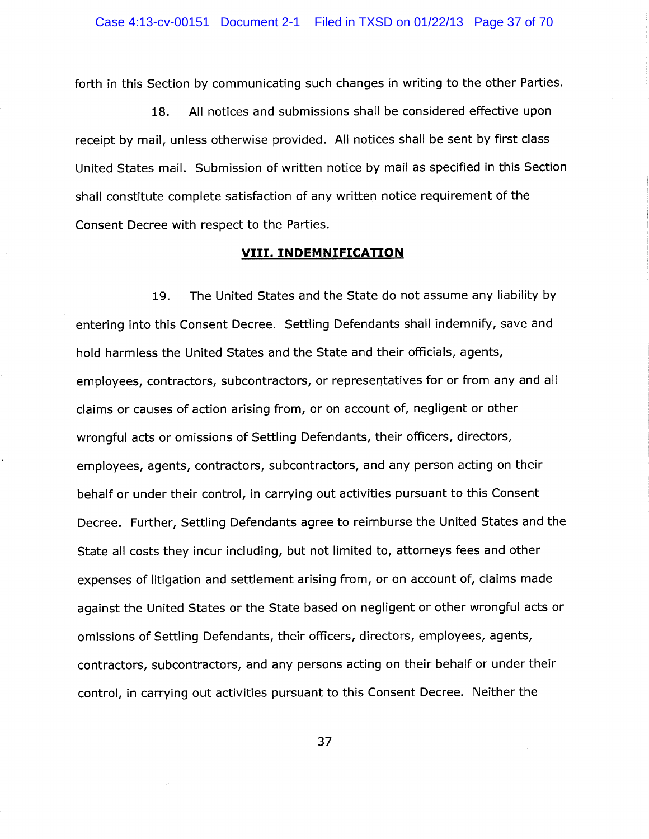forth in this Section by communicating such changes in writing to the other Parties.

18. All notices and submissions shall be considered effective upon receipt by mail, unless otherwise provided. All notices shall be sent by first class United States mail. Submission of written notice by mail as specified in this Section shall constitute complete satisfaction of any written notice requirement of the Consent Decree with respect to the Parties.

## VIII. INDEMNIFICATION

19. The United States and the State do not assume any liability by entering into this Consent Decree. Settling Defendants shall indemnify, save and hold harmless the United States and the State and their officials, agents, employees, contractors, subcontractors, or representatives for or from any and all claims or causes of action arising from, or on account of, negligent or other wrongful acts or omissions of Settling Defendants, their officers, directors, employees, agents, contractors, subcontractors, and any person acting on their behalf or under their control, in carrying out activities pursuant to this Consent Decree. Further, Settling Defendants agree to reimburse the United States and the State all costs they incur including, but not limited to, attorneys fees and other expenses of litigation and settlement arising from, or on account of, claims made against the United States or the State based on negligent or other wrongful acts or omissions of Settling Defendants, their officers, directors, employees, agents, contractors, subcontractors, and any persons acting on their behalf or under their control, in carrying out activities pursuant to this Consent Decree. Neither the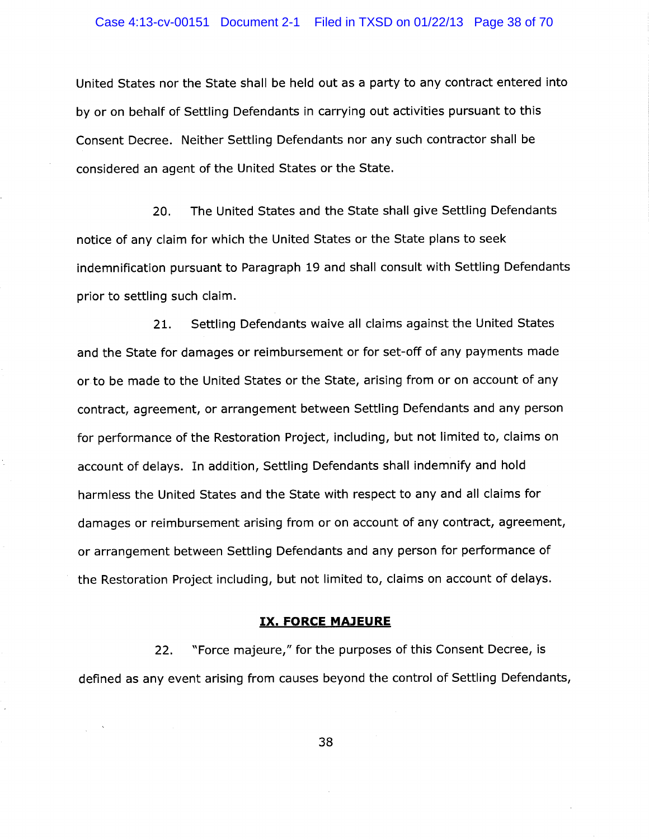United States nor the State shall be held out as a party to any contract entered into by or on behalf of Settling Defendants in carrying out activities pursuant to this Consent Decree. Neither Settling Defendants nor any such contractor shall be considered an agent of the United States or the State.

20. The United States and the State shall give Settling Defendants notice of any claim for which the United States or the State plans to seek indemnification pursuant to Paragraph 19 and shall consult with Settling Defendants prior to settling such claim.

21. Settling Defendants waive all claims against the United States and the State for damages or reimbursement or for set-off of any payments made or to be made to the United States or the State, arising from or on account of any contract, agreement, or arrangement between Settling Defendants and any person for performance of the Restoration Project, including, but not limited to, claims on account of delays. In addition, Settling Defendants shall indemnify and hold harmless the United States and the State with respect to any and all claims for damages or reimbursement arising from or on account of any contract, agreement, or arrangement between Settling Defendants and any person for performance of the Restoration Project including, but not limited to, claims on account of delays.

### IX. FORCE MA)EURE

22. "Force majeure," for the purposes of this Consent Decree, is defined as any event arising from causes beyond the control of Settling Defendants,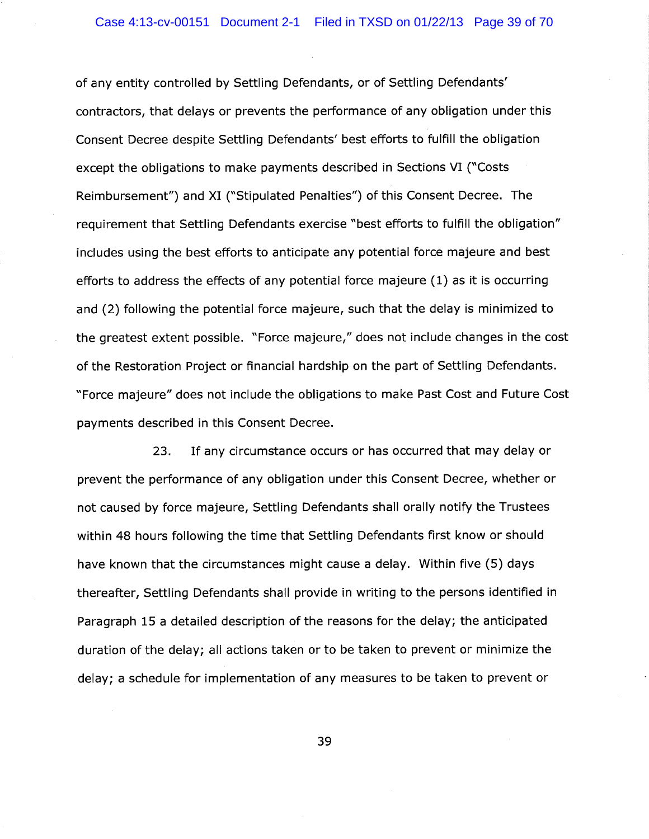of any entity controlled by Settling Defendants, or of Settling Defendants' contractors, that delays or prevents the performance of any obligation under this Consent Decree despite Settling Defendants' best efforts to fulfill the obligation except the obligations to make payments described in Sections VI ("Costs Reimbursement") and XI ("Stipulated Penalties") of this Consent Decree. The requirement that Settling Defendants exercise "best efforts to fulfill the obligation" includes using the best efforts to anticipate any potential force majeure and best efforts to address the effects of any potential force majeure (1) as it is occurring and (2) following the potential force majeure, such that the delay is minimized to the greatest extent possible. °Force majeure," does not include changes in the cost of the Restoration Project or financial hardship on the part of Settling Defendants. "Force majeure" does not include the obligations to make Past Cost and Future Cost payments described in this Consent Decree.

23. If any circumstance occurs or has occurred that may delay or prevent the performance of any obligation under this Consent Decree, whether or not caused by force majeure, Settling Defendants shall orally notify the Trustees within 48 hours following the time that Settling Defendants first know or should have known that the circumstances might cause a delay. Within five (5) days thereafter, Settling Defendants shall provide in writing to the persons identified in Paragraph 15 a detailed description of the reasons for the delay; the anticipated duration of the delay; all actions taken or to be taken to prevent or minimize the delay; a schedule for implementation of any measures to be taken to prevent or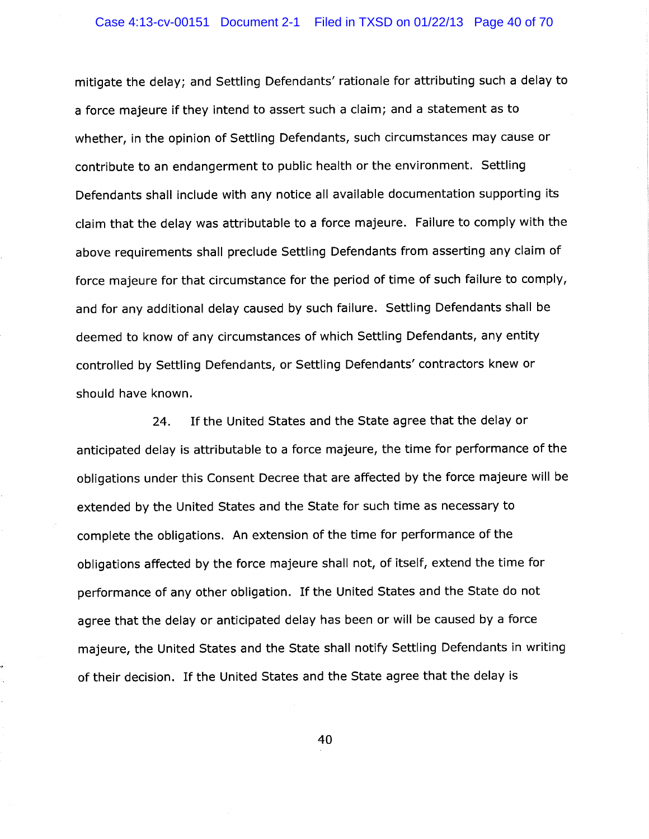### Case 4:13-cv-00151 Document 2-1 Filed in TXSD on 01/22/13 Page 40 of 70

mitigate the delay; and Settling Defendants' rationale for attributing such a delay to a force majeure if they intend to assert such a claim; and a statement as to whether, in the opinion of Settling Defendants, such circumstances may cause or contribute to an endangerment to public health or the environment. Settling Defendants shall include with any notice all available documentation supporting its claim that the delay was attributable to a force majeure. Failure to comply with the above requirements shall preclude Settling Defendants from asserting any claim of force majeure for that circumstance for the period of time of such failure to comply, and for any additional delay caused by such failure. Settling Defendants shall be deemed to know of any circumstances of which Settling Defendants, any entity controlled by Settling Defendants, or Settling Defendants' contractors knew or should have known.

24. If the United States and the State agree that the delay or anticipated delay is attributable to a force majeure, the time for performance of the obligations under this Consent Decree that are affected by the force majeure will be extended by the United States and the State for such time as necessary to complete the obligations. An extension of the time for performance of the obligations affected by the force majeure shall not, of itself, extend the time for performance of any other obligation. If the United States and the State do not agree that the delay or anticipated delay has been or will be caused by a force majeure, the United States and the State shall notify Settling Defendants in writing of their decision. If the United States and the State agree that the delay is

.~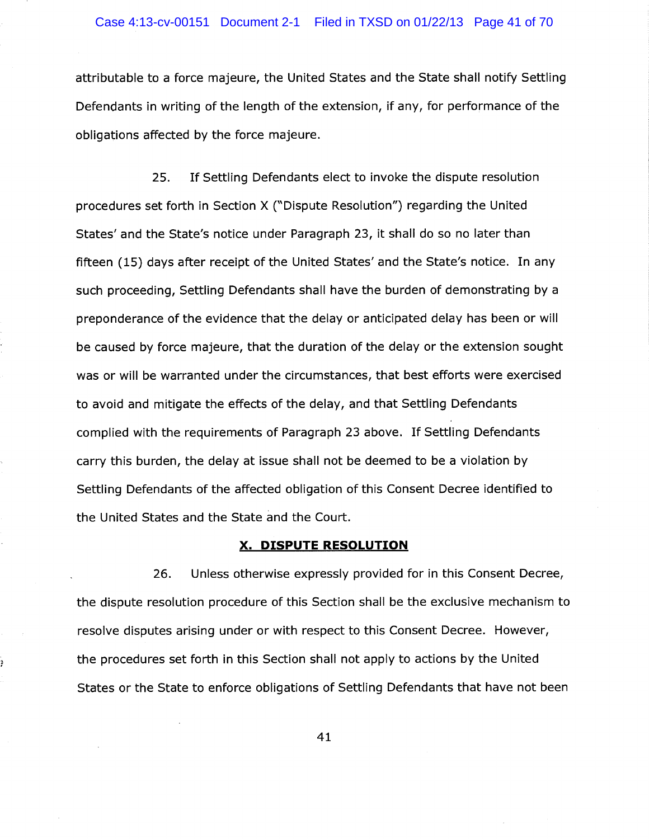attributable to a force majeure, the United States and the State shall notify Settling Defendants in writing of the length of the extension, if any, for performance of the obligations affected by the force majeure.

25. If Settling Defendants elect to invoke the dispute resolution procedures set forth in Section X ("Dispute Resolution") regarding the United States' and the State's notice under Paragraph 23, it shall do so no later than fifteen (15) days after receipt of the United States' and the State's notice. In any such proceeding, Settling Defendants shall have the burden of demonstrating by a preponderance of the evidence that the delay or anticipated delay has been or will be caused by force majeure, that the duration of the delay or the extension sought was or will be warranted under the circumstances, that best efforts were exercised to avoid and mitigate the effects of the delay, and that Settling Defendants complied with the requirements of Paragraph 23 above. If Settling Defendants carry this burden, the delay at issue shall not be deemed to be a violation by Settling Defendants of the affected obligation of this Consent Decree identified to the United States and the State and the Court.

#### X. DISPUTE RESOLUTION

26. Unless otherwise expressly provided for in this Consent Decree, the dispute resolution procedure of this Section shall be the exclusive mechanism to resolve disputes arising under or with respect to this Consent Decree. However, the procedures set forth in this Section shall not apply to actions by the United States or the State to enforce obligations of Settling Defendants that have not been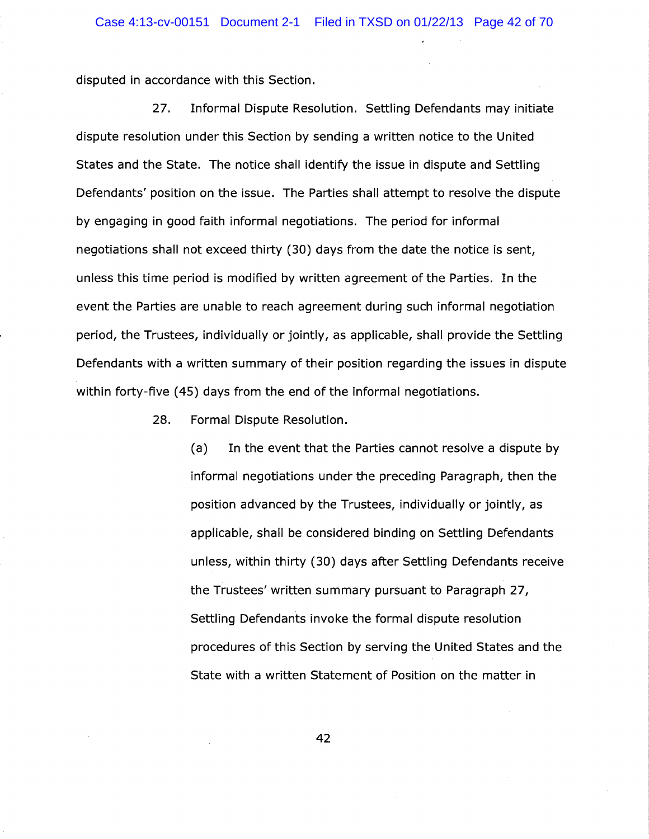disputed in accordance with this Section.

27. Informal Dispute Resolution. Settling Defendants may initiate dispute resolution under this Section by sending a written notice to the United States and the State. The notice shall identify the issue in dispute and Settling Defendants' position on the issue. The Parties shall attempt to resolve the dispute by engaging in good faith informal negotiations. The period for informal negotiations shall not exceed thirty (30) days from the date the notice is sent, unless this time period is modified by written agreement of the Parties. In the event the Parties are unable to reach agreement during such informal negotiation period, the Trustees, individually or jointly, as applicable, shall provide the Settling Defendants with a written summary of their position regarding the issues in dispute within forty-five (45) days from the end of the informal negotiations.

28. Formal Dispute Resolution.

(a) In the event that the Parties cannot resolve a dispute by informal negotiations under the preceding Paragraph, then the position advanced by the Trustees, individually or jointly, as applicable, shall be considered binding on Settling Defendants unless, within thirty (30) days after Settling Defendants receive the Trustees' written summary pursuant to Paragraph 27, Settling Defendants invoke the formal dispute resolution procedures of this Section by serving the United States and the State with a written Statement of Position on the matter in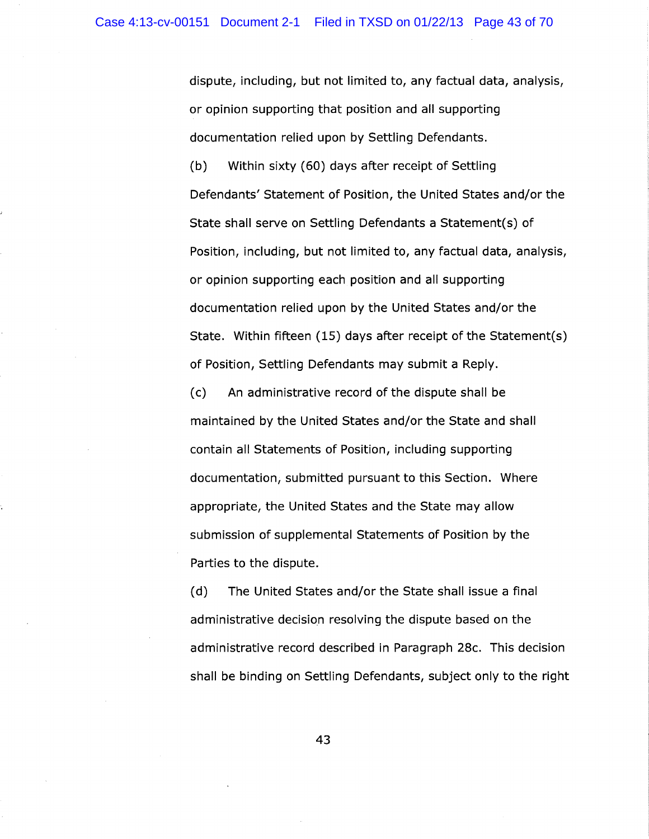dispute, including, but not limited to, any factual data, analysis, or opinion supporting that position and all supporting documentation relied upon by Settling Defendants.

(b) Within sixty (60) days after receipt of Settling Defendants' Statement of Position, the United States and/or the State shall serve on Settling Defendants a Statement(s) of Position, including, but not limited to, any factual data, analysis, or opinion supporting each. position and all supporting documentation relied upon by the United States and/or the State. Within fifteen  $(15)$  days after receipt of the Statement $(s)$ of Position, Settling Defendants may submit a Reply.

(c) An administrative record of the dispute shall be maintained by the United States and/or the State and shall contain all Statements of Position, including supporting documentation, submitted pursuant to this Section. Where appropriate, the United States and the State may allow submission of supplemental Statements of Position by the Parties to the dispute.

(d) The United States and/or the State shall issue a final administrative decision resolving the dispute based on the administrative record described in Paragraph 28c. This decision shall be binding on Settling Defendants, subject only to the right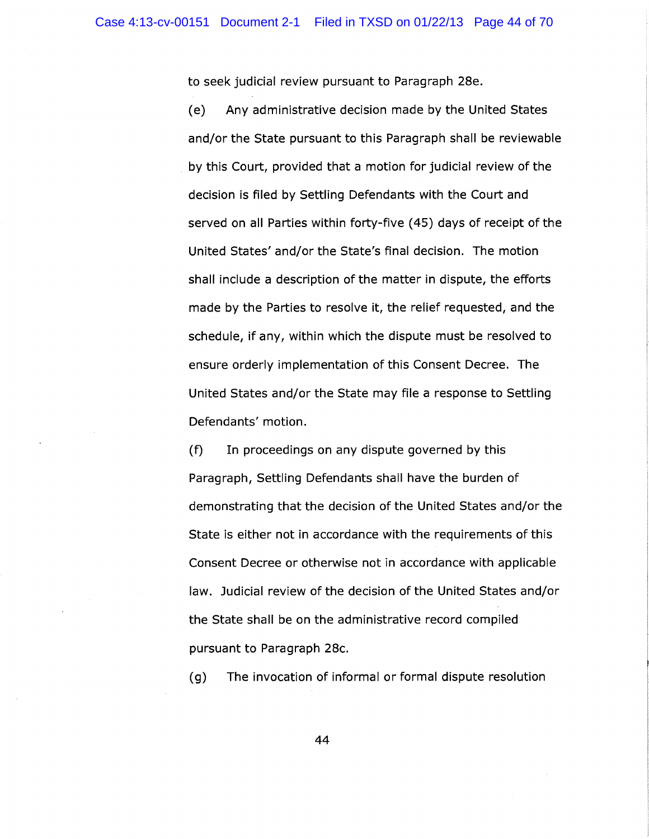to seek judicial review pursuant to Paragraph 28e.

(e) Any administrative decision made by the United States and/or the State pursuant to this Paragraph shall be reviewable by this Court, provided that a motion for judicial review of the decision is filed by Settling Defendants with the Court and served on all Parties within forty-five (45) days of receipt of the United States' and/or the State's final decision. The motion shall include a description of the matter in dispute, the efforts made by the Parties to resolve it, the relief requested, and the schedule, if any, within which the dispute must be resolved to ensure orderly implementation of this Consent Decree. The United States and/or the State may file a response to Settling Defendants' motion.

(f) In proceedings on any dispute governed by this Paragraph, Settling Defendants shall have the burden of demonstrating that the decision of the United States and/or the State is either not in accordance with the requirements of this Consent Decree or otherwise not in accordance with applicable law. Judicial review of the decision of the United States and/or the State shall be on the administrative record compiled pursuant to Paragraph 28c.

(g) The invocation of informal or formal dispute resolution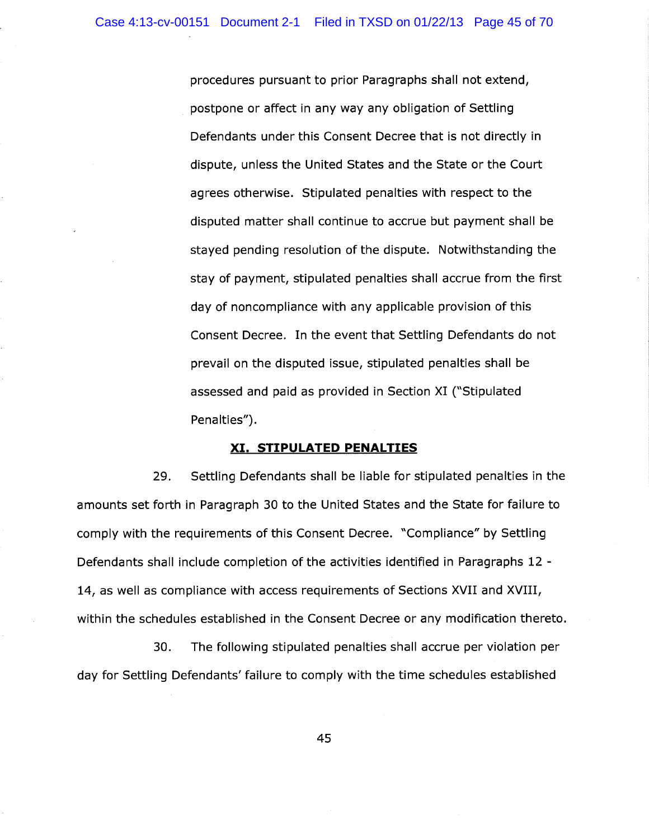procedures pursuant to prior Paragraphs shall not extend, postpone or affect in any way any obligation of Settling Defendants under this Consent Decree that is not directly in dispute, unless the United States and the State or the Court agrees otherwise. Stipulated penalties with respect to the disputed matter shall continue to accrue but payment shall be stayed pending resolution of the dispute. Notwithstanding the stay of payment, stipulated penalties shall accrue from the first day of noncompliance with any applicable provision of this Consent Decree. In the event that Settling Defendants do not prevail on the disputed issue, stipulated penalties shall be assessed and paid as provided in Section XI ("Stipulated Penalties").

#### XI. STIPULATED PENALTIES

29. Settling Defendants shall be liable for stipulated penalties in the amounts set forth in Paragraph 30 to the United States and the State for failure to comply with the requirements of this Consent Decree. "Compliance" by Settling Defendants shall include completion of the activities identified in Paragraphs 12 - 14, as well as compliance with access requirements of Sections XVII and XVIII, within the schedules established in the Consent Decree or any modification thereto.

30. The following stipulated penalties shall accrue per violation per day for Settling Defendants' failure to comply with the time schedules established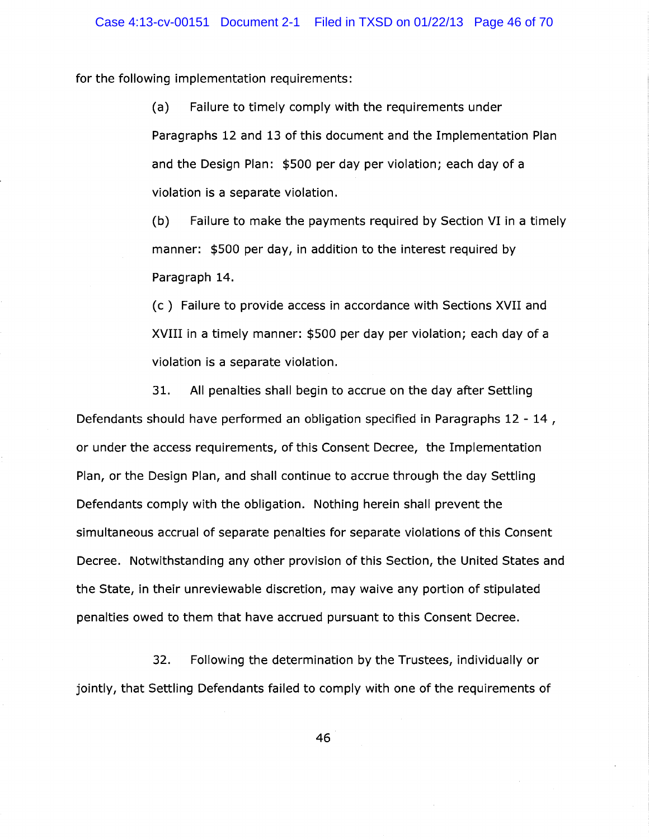for the following implementation requirements:

(a) Failure to timely comply with the requirements under Paragraphs 12 and 13 of this document and the Implementation Plan and the Design Plan: \$500 per day per violation; each day of a violation is a separate violation.

(b) Failure to make the payments required by Section VI in a timely manner: \$500 per day, in addition to the interest required by Paragraph 14.

(c) Failure to provide access in accordance with Sections XVII and XVIII in a timely manner: \$500 per day per violation; each day of a violation is a separate violation.

31. All penalties shall begin to accrue on the day after Settling Defendants should have performed an obligation specified in Paragraphs 12 - 14 , or under the access requirements, of this Consent Decree, the Implementation Plan, or the Design Plan, and shall continue to accrue through the day Settling Defendants comply with the obligation. Nothing herein shall prevent the simultaneous accrual of separate penalties for separate violations of this Consent Decree. Notwithstanding any other provision of this Section, the United States and the State, in their unreviewable discretion, may waive any portion of stipulated penalties owed to them that have accrued pursuant to this Consent Decree.

32. Following the determination by the Trustees, individually or jointly, that Settling Defendants failed to comply with one of the requirements of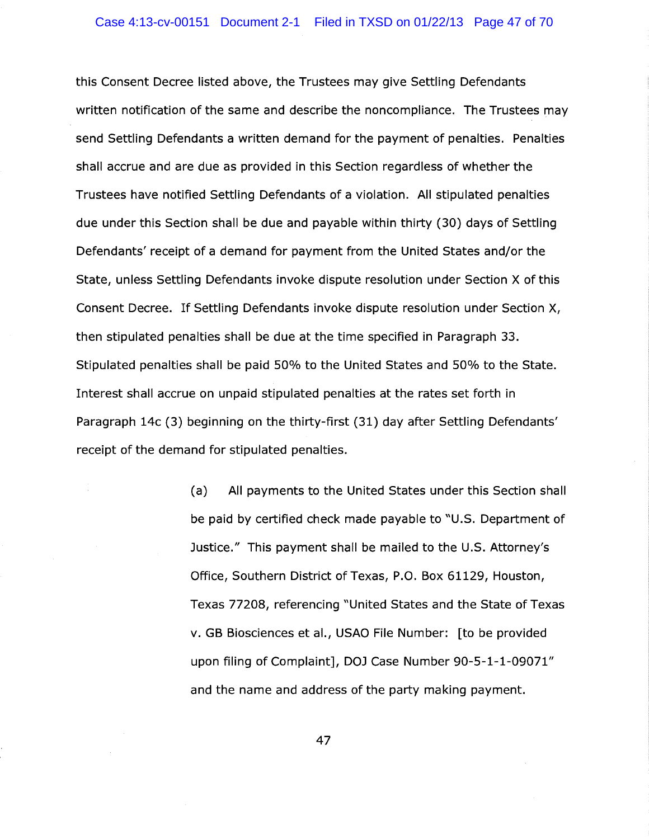this Consent Decree listed above, the Trustees may give Settling Defendants written notification of the same and describe the noncompliance. The Trustees may send Settling Defendants a written demand for the payment of penalties. Penalties shall accrue and are due as provided in this Section regardless of whether the Trustees have notified Settling Defendants of a violation. All stipulated penalties due under this Section shall be due and payable within thirty (30) days of Settling Defendants' receipt of a demand for payment from the United States and/or the State, unless Settling Defendants invoke dispute resolution under Section X of this Consent Decree. If Settling Defendants invoke dispute resolution under Section X, then stipulated penalties shall be due at the time specified in Paragraph 33. Stipulated penalties shall be paid 50% to the United States and 50% to the State. Interest shall accrue on unpaid stipulated penalties at the rates set forth in Paragraph 14c (3) beginning on the thirty-first (31) day after Settling Defendants' receipt of the demand for stipulated penalties.

> (a) All payments to the United States under this Section shall be paid by certified check made payable to "U.S. Department of Justice." This payment shall be mailed to the U.S. Attorney's Office, Southern District of Texas, P.O. Box 61129, Houston, Texas 77208, referencing "United States and the State of Texas v. GB Biosciences et al., USAO File Number: [to be provided upon filing of Complaint], DOJ Case Number 90-5-1-1-09071" and the name and address of the party making payment.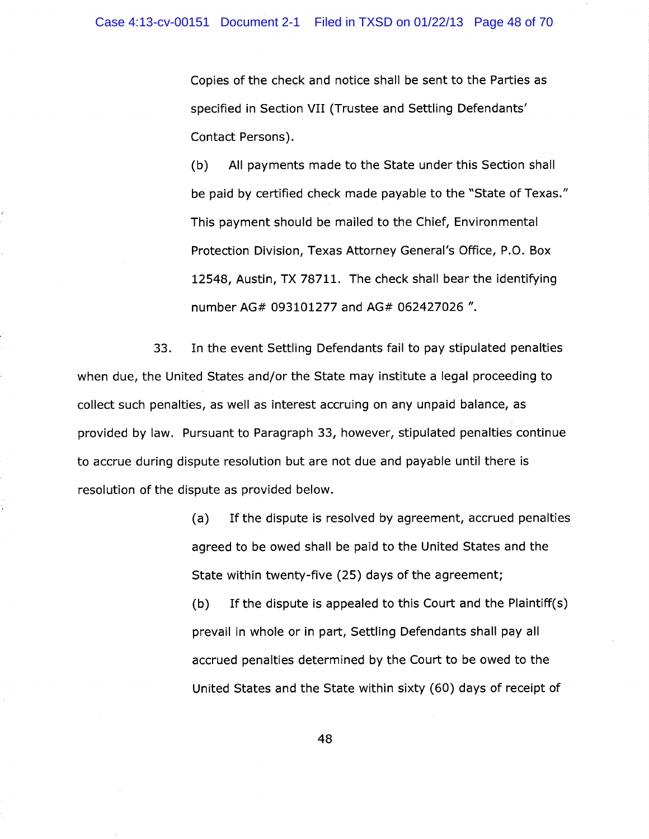Copies of the check and notice shall be sent to the Parties as specified in Section VII (Trustee and Settling Defendants' Contact Persons).

(b) All payments made to the State under this Section shall be paid by certified check made payable to the "State of Texas." This payment should be mailed to the Chief, Environmental Protection Division, Texas Attorney General's Office, P.O. Box 12548, Austin, TX 78711. The check shall bear the identifying number AG# 093101277 and AG# 062427026 ".

33. In the event Settling Defendants fail to pay stipulated penalties when due, the United States and/or the State may institute a legal proceeding to collect such penalties, as well as interest accruing on any unpaid balance, as provided by law. Pursuant to Paragraph 33, however, stipulated penalties continue to accrue during dispute resolution but are not due and payable until there is resolution of the dispute as provided below.

> (a) If the dispute is resolved by agreement, accrued penalties agreed to be owed shall be paid to the United States and the State within twenty-five (25) days of the agreement;

> (b) If the dispute is appealed to this Court and the Plaintiff $(s)$ prevail in whole or in part, Settling Defendants shall pay all accrued penalties determined by the Court to be owed to the United States and the State within sixty (60) days of receipt of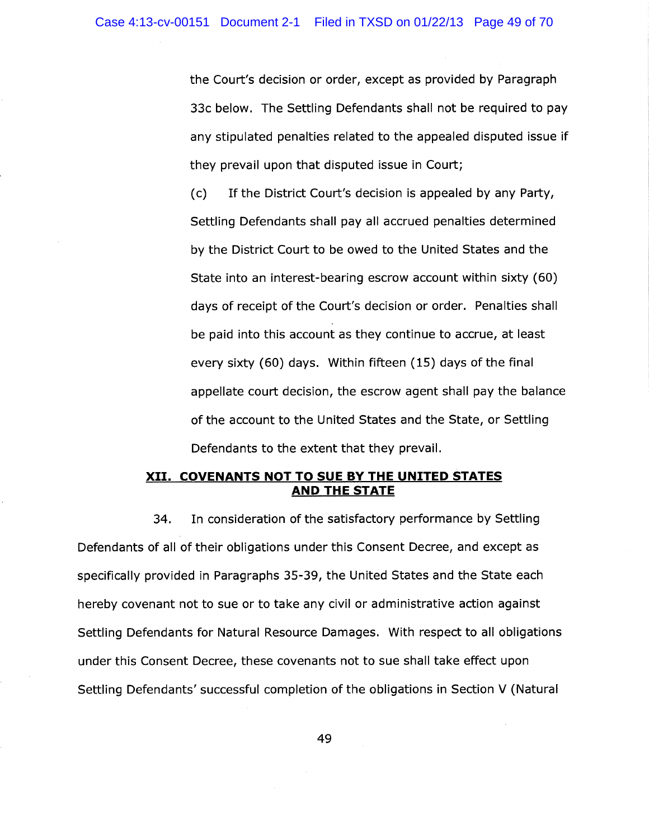the Court's decision or order, except as provided by Paragraph 33c below. The Settling Defendants shall not be required to pay any stipulated penalties related to the appealed disputed issue if they prevail upon that disputed issue in Court;

(c) If the District Court's decision is appealed by any Party, Settling Defendants shall pay all accrued penalties determined by the District Court to be owed to the United States and the State into an interest-bearing escrow account within sixty (60) days of receipt of the Court's decision or order. Penalties shall be paid into this account as they continue to accrue, at least every sixty (60) days. Within fifteen (15) days of the final appellate court decision, the escrow agent shall pay the balance of the account to the United States and the State, or Settling Defendants to the extent that they prevail.

## XII. COVENANTS NOT TO SUE BY THE UNITED STATES AND THE STATE

34. In consideration of the satisfactory performance by Settling Defendants of all of their obligations under this Consent Decree, and except as specifically provided in Paragraphs 35-39, the United States and the State each hereby covenant not to sue or to take any civil or administrative action against Settling Defendants for Natural Resource Damages. With respect to all obligations under this Consent Decree, these covenants not to sue shall take effect upon Settling Defendants' successful completion of the obligations in Section V (Natural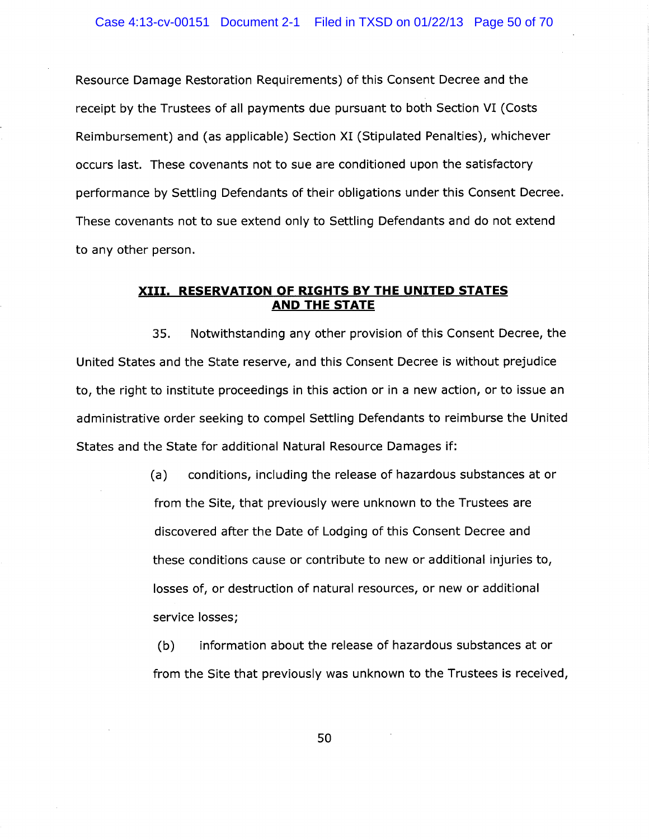Resource Damage Restoration Requirements) of this Consent Decree and the receipt by the Trustees of all payments due pursuant to both Section VI (Costs Reimbursement) and (as applicable) Section XI (Stipulated Penalties), whichever occurs last. These covenants not to sue are conditioned upon the satisfactory performance by Settling Defendants of their obligations under this Consent Decree. These covenants not to sue extend only to Settling Defendants and do not extend to any other person.

## XIII. RESERVATION OF RIGHTS BY THE UNITED STATES AND THE STATE

35. Notwithstanding any other provision of this Consent Decree, the United States and the State reserve, and this Consent Decree is without prejudice to, the right to institute proceedings in this action or in a new action, or to issue an administrative order seeking to compel Settling Defendants to reimburse the United States and the State for additional Natural Resource Damages if:

> (a) conditions, including the release of hazardous substances at or from the Site, that previously were unknown to the Trustees are discovered after the Date of Lodging of this Consent Decree and these conditions cause or contribute to new or additional injuries to, losses of, or destruction of natural resources, or new or additional service losses;

(b) information about the release of hazardous substances at or from the Site that previously was unknown to the Trustees is received,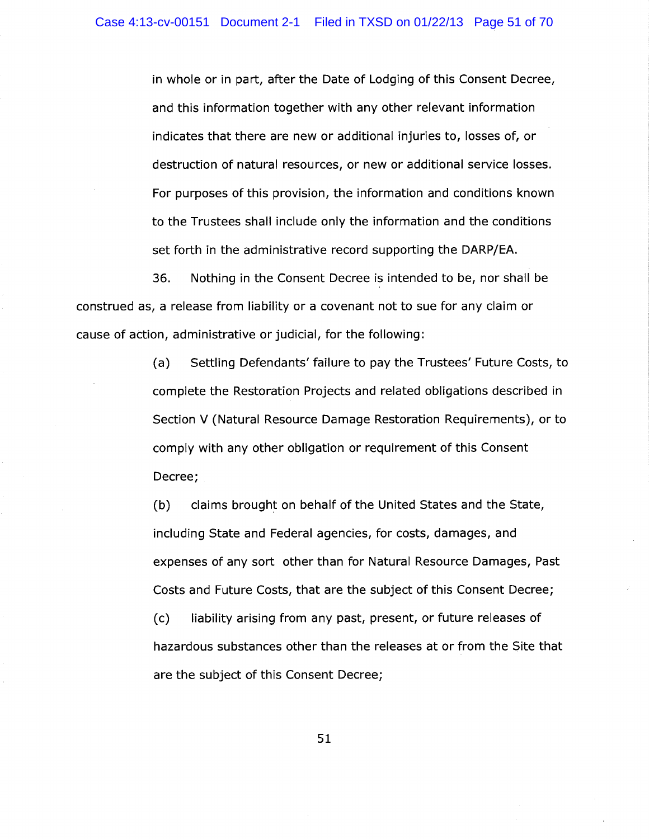in whole or in part, after the Date of Lodging of this Consent Decree, and this information together with any other relevant information indicates that there are new or additional injuries to, losses of, or destruction of natural resources, or new or additional service losses. For purposes of this provision, the information and conditions known to the Trustees shall include only the information and the conditions set forth in the administrative record supporting the DARP/EA.

36. Nothing in the Consent Decree is intended to be, nor shall be construed as, a release from liability or a covenant not to sue for any claim or cause of action, administrative or judicial, for the following:

> (a) Settling Defendants' failure to pay the Trustees' Future Costs, to complete the Restoration Projects and related obligations described in Section V (Natural Resource Damage Restoration Requirements), or to comply with any other obligation or requirement of this Consent Decree;

(b) claims brought on behalf of the United States and the State, including State and Federal agencies, for costs, damages, and expenses of any sort other than for Natural Resource Damages, Past Costs and Future Costs, that are the subject of this Consent Decree; (c) liability arising from any past, present, or future releases of hazardous substances other than the releases at or from the Site that are the subject of this Consent Decree;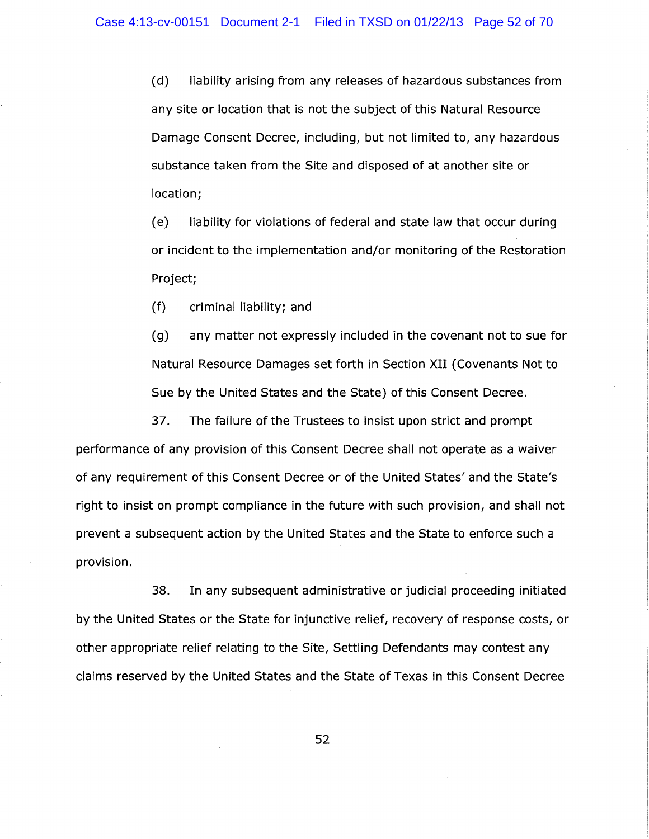(d) liability arising from any releases of hazardous substances from any site or location that is not the subject of this Natural Resource Damage Consent Decree, including, but not limited to, any hazardous substance taken from the Site and disposed of at another site or location;

(e) liability for violations of federal and state law that occur during or incident to the implementation and/or monitoring of the Restoration Project;

(f) criminal liability; and

(g) any matter not expressly included in the covenant not to sue for Natural Resource Damages set forth in Section XII (Covenants Not to Sue by the United States and the State) of this Consent Decree.

37. The failure of the Trustees to insist upon strict and prompt performance of any provision of this Consent Decree shall not operate as a waiver of any requirement of this Consent Decree or of the United States' and the State's right to insist on prompt compliance in the future with such provision, and shall not prevent a subsequent action by the United States and the State to enforce such a provision.

38. In any subsequent administrative or judicial proceeding initiated by the United States or the State for injunctive relief, recovery of response costs, or other appropriate relief relating to the Site, Settling Defendants may contest any claims reserved by the United States and the State of Texas in this Consent Decree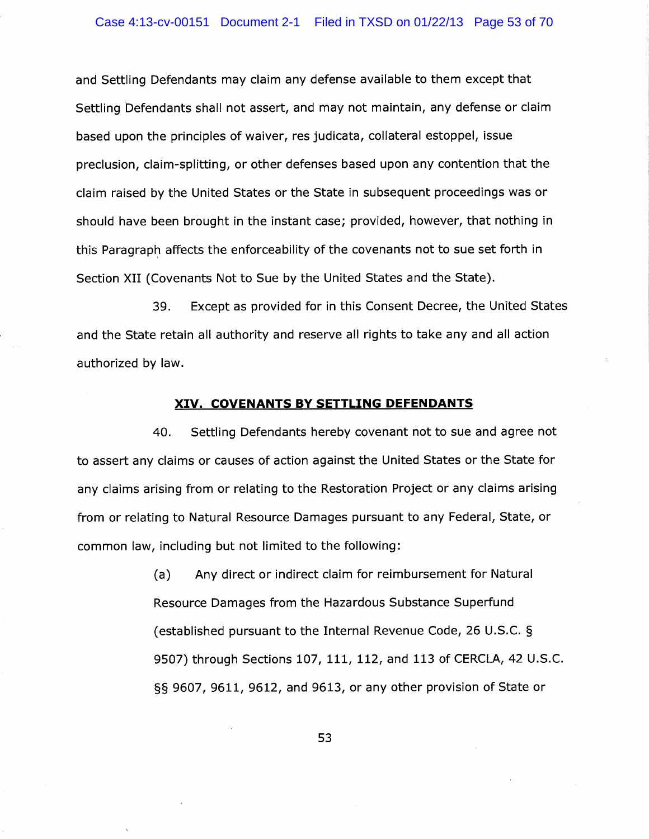### Case 4:13-cv-00151 Document 2-1 Filed in TXSD on 01/22/13 Page 53 of 70

and Settling Defendants may claim any defense available to them except that Settling Defendants shall not assert, and may not maintain, any defense or claim based upon the principles of waiver, res judicata, collateral estoppel, issue preclusion, claim-splitting, or other defenses based upon any contention that the claim raised by the United States or the State in subsequent proceedings was or should have been brought in the instant case; provided, however, that nothing in this Paragraph affects the enforceability of the covenants not to sue set forth in Section XII (Covenants Not to Sue by the United States and the State).

39. Except as provided for in this Consent Decree, the United States and the State retain all authority and reserve all rights to take any and all action authorized by law.

### XIV. COVENANTS BY SETTLING DEFENDANTS

40. Settling Defendants hereby covenant not to sue and agree not to assert any claims or causes of action against the United States or the State for any claims arising from or relating to the Restoration Project or any claims arising from or relating to Natural Resource Damages pursuant to any Federal, State, or common law, including but not limited to the following:

> (a) Any direct or indirect claim for reimbursement for Natural Resource Damages from the Hazardous Substance Superfund (established pursuant to the Internal Revenue Code, 26 U.S.C. § 9507) through Sections 107, 111, 112, and 113 of CERCLA, 42 U.S.C. §§ 9607, 9611, 9612, and 9613, or any other provision of State or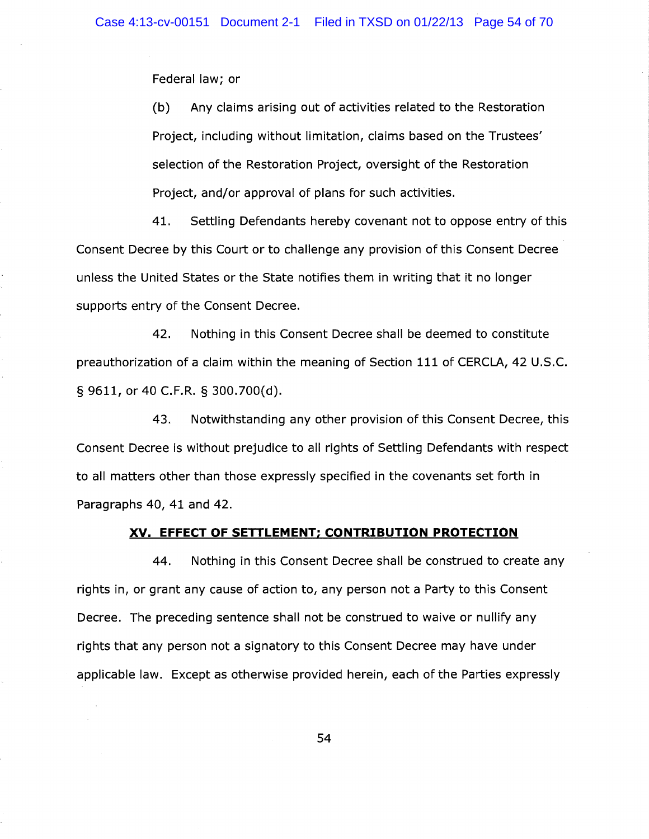Federal law; or

(b) Any claims arising out of activities related to the Restoration Project, including without limitation, claims based on the Trustees' selection of the Restoration Project, oversight of the Restoration Project, and/or approval of plans for such activities.

41. Settling Defendants hereby covenant not to oppose entry of this Consent Decree by this Court or to challenge any provision of this Consent Decree unless the United States or the State notifies them in writing that it no longer supports entry of the Consent Decree.

42. Nothing in this Consent Decree shall be deemed to constitute preauthorization of a claim within the meaning of Section 111 of CERCLA, 42 U.S.C. § 9611, or 40 C.F.R. § 300.700(d).

43. Notwithstanding any other provision of this Consent Decree, this Consent Decree is without prejudice to all rights of Settling Defendants with respect to all matters other than those expressly specified in the covenants set forth in Paragraphs 40, 41 and 42.

## XV. EFFECT OF SETTLEMENT; CONTRIBUTION PROTECTION

44. Nothing in this Consent Decree shall be construed to create any rights in, or grant any cause of action to, any person not a Party to this Consent Decree. The preceding sentence shall not be construed to waive or nullify any rights that any person not a signatory to this Consent Decree may have under applicable law. Except as otherwise provided herein, each of the Parties expressly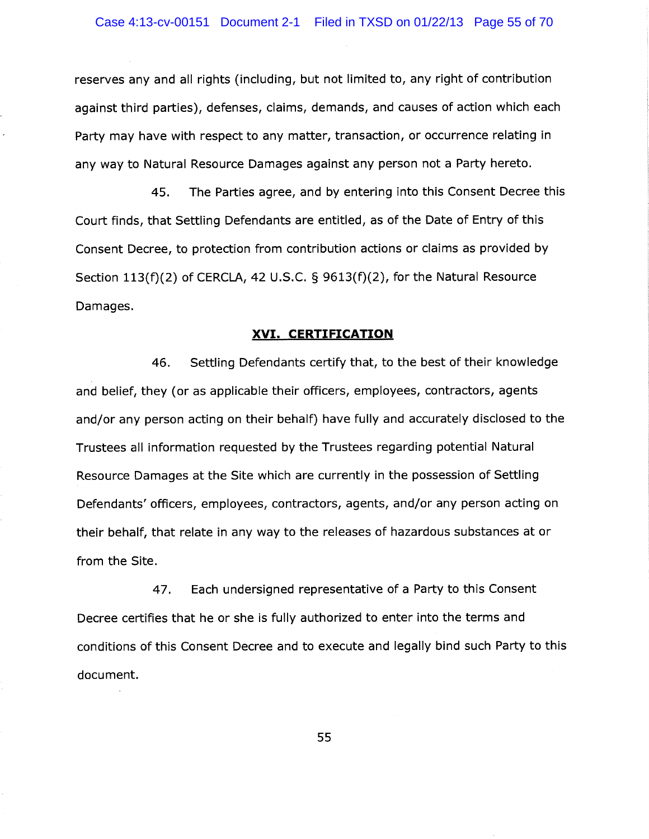reserves any and all rights (including, but not limited to, any right of contribution against third parties), defenses, claims, demands, and causes of action which each Party may have with respect to any matter, transaction, or occurrence relating in any way to Natural Resource Damages against any person not a Party hereto.

45. The Parties agree, and by entering into this Consent Decree this Court finds, that Settling Defendants are entitled, as of the Date of Entry of this Consent Decree, to protection from contribution actions or claims as provided by Section  $113(f)(2)$  of CERCLA, 42 U.S.C. § 9613(f)(2), for the Natural Resource Damages.

### XVI. CERTIFICATION

46. Settling Defendants certify that, to the best of their knowledge and belief, they (or as applicable their officers, employees, contractors, agents and/or any person acting on their behalf) have fully and accurately disclosed to the Trustees all information requested by the Trustees regarding potential Natural Resource Damages at the Site which are currently in the possession of Settling Defendants' officers, employees, contractors, agents, and/or any person acting on their behalf, that relate in any way to the releases of hazardous substances at or from the Site.

47. Each undersigned representative of a Party to this Consent Decree certifies that he or she is fully authorized to enter into the terms and conditions of this Consent Decree and to execute and legally bind such Party to this document.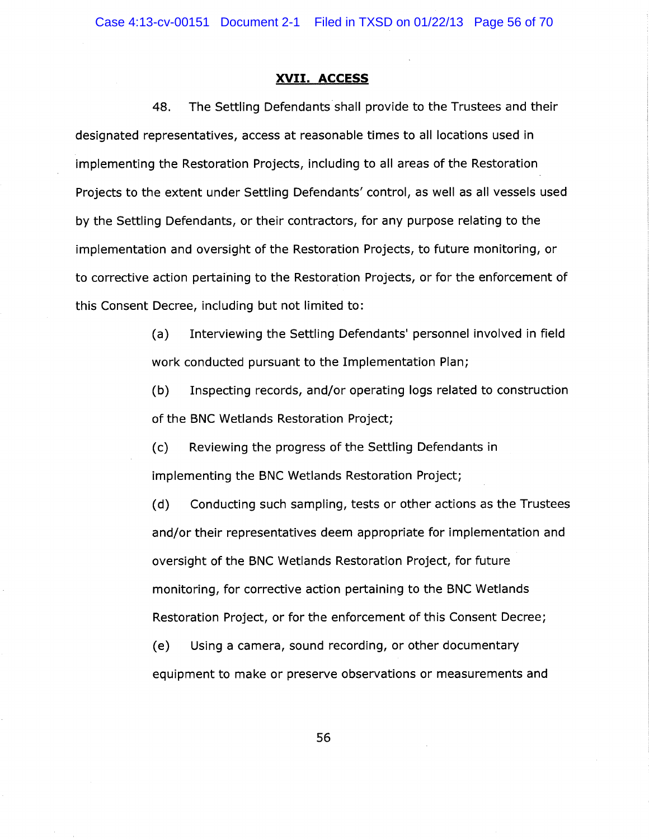### XVII. ACCESS

48. The Settling Defendants shall provide to the Trustees and their designated representatives, access at reasonable times to all locations used in implementing the Restoration Projects, including to all areas of the Restoration Projects to the extent under Settling Defendants' control, as well as all vessels used by the Settling Defendants, or their contractors, for any purpose relating to the implementation and oversight of the Restoration Projects, to future monitoring, or to corrective action pertaining to the Restoration Projects, or for the enforcement of this Consent Decree, including but not limited to:

> (a) Interviewing the Settling Defendants' personnel involved in field work conducted pursuant to the Implementation Plan;

> (b) Inspecting records, and/or operating logs related to construction of the BNC Wetlands Restoration Project;

(c) Reviewing the progress of the Settling Defendants in implementing the BNC Wetlands Restoration Project;

(d) Conducting such sampling, tests or other actions as the Trustees and/or their representatives deem appropriate for implementation and oversight of the BNC Wetlands Restoration Project, for future monitoring, for corrective action pertaining to the BNC Wetlands Restoration Project, or for the enforcement of this Consent Decree;

(e) Using a camera, sound recording, or other documentary equipment to make or preserve observations or measurements and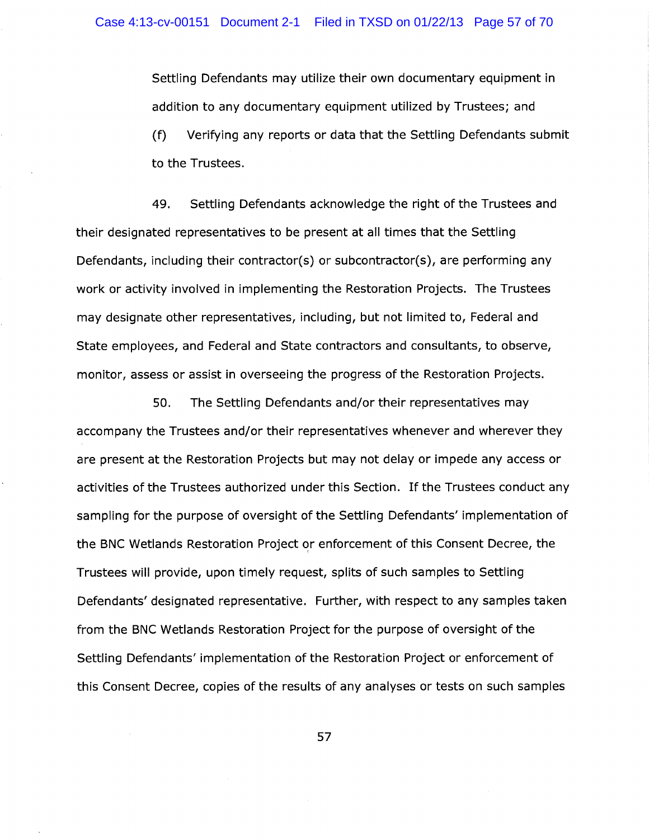Settling Defendants may utilize their own documentary equipment in addition to any documentary equipment utilized by Trustees; and (f) Verifying any reports or data that the Settling Defendants submit to the Trustees.

49. Settling Defendants acknowledge the right of the Trustees and their designated representatives to be present at all times that the Settling Defendants, including their contractor(s) or subcontractor(s), are performing any work or activity involved in implementing the Restoration Projects. The Trustees may designate other representatives, including, but not limited to, Federal and State employees, and Federal and State contractors and consultants, to observe, monitor, assess or assist in overseeing the progress of the Restoration Projects.

50. The Settling Defendants and/or their representatives may accompany the Trustees and/or their representatives whenever and wherever they are present at the Restoration Projects but may not delay or impede any access or activities of the Trustees authorized under this Section. If the Trustees conduct any sampling for the purpose of oversight of the Settling Defendants' implementation of the BNC Wetlands Restoration Project or enforcement of this Consent Decree, the Trustees will provide, upon timely request, splits of such samples to Settling Defendants' designated representative. Further, with respect to any samples taken from the BNC Wetlands Restoration Project for the purpose of oversight of the Settling Defendants' implementation of the Restoration Project or enforcement of this Consent Decree, copies of the results of any analyses or tests on such samples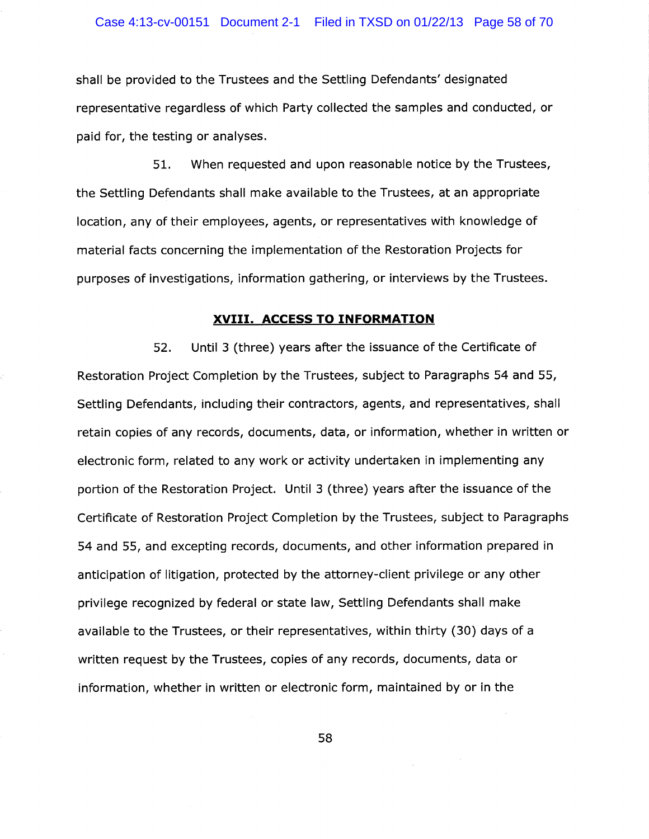shall be provided to the Trustees and the Settling Defendants' designated representative regardless of which Party collected the samples and conducted, or paid for, the testing or analyses.

51. When requested and upon reasonable notice by the Trustees, the Settling Defendants shall make available to the Trustees, at an appropriate location, any of their employees, agents, or representatives with knowledge of material facts concerning the implementation of the Restoration Projects for purposes of investigations, information gathering, or interviews by the Trustees.

#### XVIII. ACCESS TO INFORMATION

52. Until 3 (three) years after the issuance of the Certificate of Restoration Project Completion by the Trustees, subject to Paragraphs 54 and 55, Settling Defendants, including their contractors, agents, and representatives, shall retain copies of any records, documents, data, or information, whether in written or electronic form, related to any work or activity undertaken in implementing any portion of the Restoration Project. Until 3 (three) years after the issuance of the Certificate of Restoration Project Completion by the Trustees, subject to Paragraphs 54 and 55, and excepting records, documents, and other information prepared in anticipation of litigation, protected by the attorney-client privilege or any other privilege recognized by federal or state law, Settling Defendants shall make available to the Trustees, or their representatives, within thirty (30) days of a written request by the Trustees, copies of any records, documents, data or information, whether in written or electronic form, maintained by or in the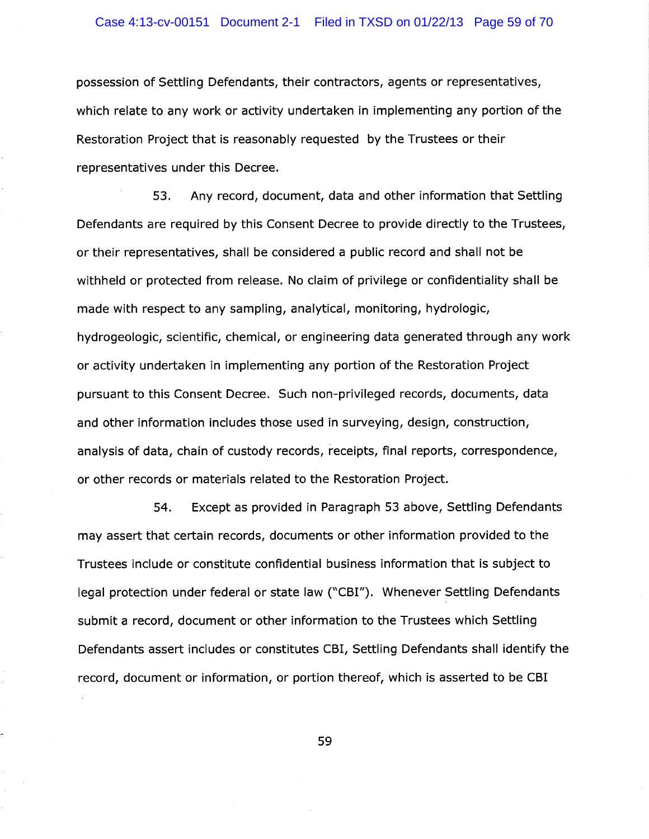### Case 4:13-cv-00151 Document 2-1 Filed in TXSD on 01/22/13 Page 59 of 70

possession of Settling Defendants, their contractors, agents or representatives, which relate to any work or activity undertaken in implementing any portion of the Restoration Project that is reasonably requested by the Trustees or their representatives under this Decree.

53. Any record, document, data and other information that Settling Defendants are required by this Consent Decree to provide directly to the Trustees, or their representatives, shall be considered a public record and shall not be withheld or protected from release. No claim of privilege or confidentiality shall be made with respect to any sampling, analytical, monitoring, hydrologic, hydrogeologic, scientific, chemical, or engineering data generated through any work or activity undertaken in implementing any portion of the Restoration Project pursuant to this Consent Decree. Such non-privileged records, documents, data and other information includes those used in surveying, design, construction, analysis of data, chain of custody records, receipts, final reports, correspondence, or other records or materials related to the Restoration Project.

54. Except as provided in Paragraph 53 above, Settling Defendants may assert that certain records, documents or other information provided to the Trustees include or constitute confidential business information that is subject to legal protection under federal or state law ("CBI"). Whenever Settling Defendants submit a record, document or other information to the Trustees which Settling Defendants assert includes or constitutes CBI, Settling Defendants shall identify the record, document or information, or portion thereof, which is asserted to be CBI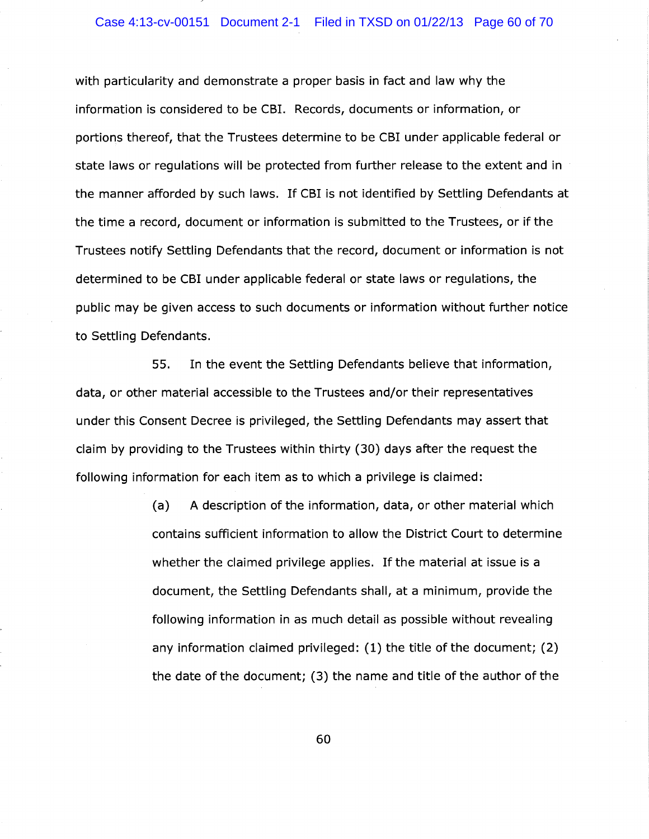### Case 4:13-cv-00151 Document 2-1 Filed in TXSD on 01/22/13 Page 60 of 70

with particularity and demonstrate a proper basis in fact and law why the information is considered to be CBI. Records, documents or information, or portions thereof, that the Trustees determine to be CBI under applicable federal or state laws or regulations will be protected from further release to the extent and in the manner afforded by such laws. If CBI is not identified by Settling Defendants at the time a record, document or information is submitted to the Trustees, or if the Trustees notify Settling Defendants that the record, document or information is not determined to be CBI under applicable federal or state laws or regulations, the public may be given access to such documents or information without further notice to Settling Defendants.

55. In the event the Settling Defendants believe that information, data, or other material accessible to the Trustees and/or their representatives under this Consent Decree is privileged, the Settling Defendants may assert that claim by providing to the Trustees within thirty (30) days after the request the following information for each item as to which a privilege is claimed:

> (a) A description of the information, data, or other material which contains sufficient information to allow the District Court to determine whether the claimed privilege applies. If the material at issue is a document, the Settling Defendants shall, at a minimum, provide the following information in as much detail as possible without revealing any information claimed privileged: (1) the title of the document; (2) the date of the document; (3) the name and title of the author of the

> > .~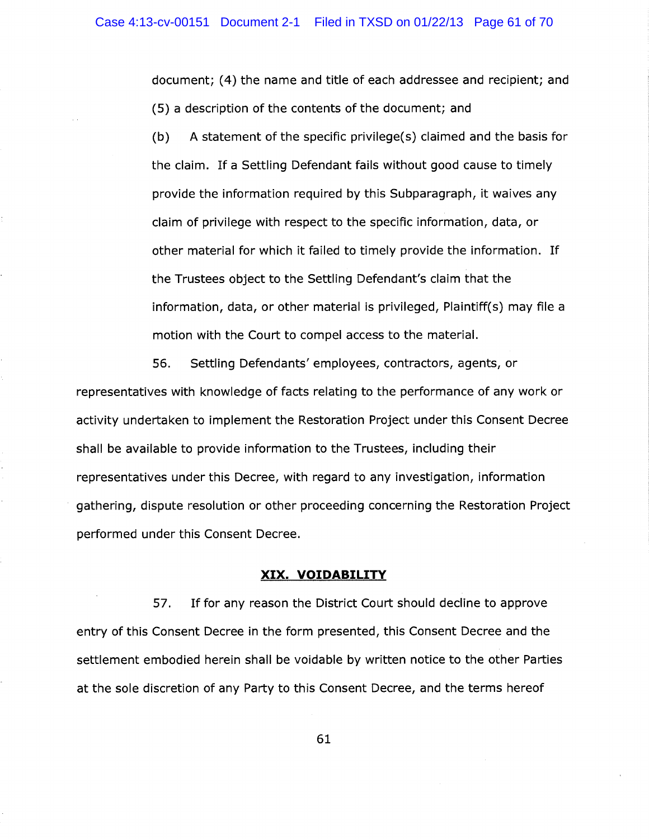document; (4) the name and title of each addressee and recipient; and (5) a description of the contents of the document; and

 $(b)$  A statement of the specific privilege(s) claimed and the basis for the claim. If a Settling Defendant fails without good cause to timely provide the information required by this Subparagraph, it waives any claim of privilege with respect to the specific information, data, or other material for which it failed to timely provide the information. If the Trustees object to the Settling Defendant's claim that the information, data, or other material is privileged, Plaintiff(s) may file a motion with the Court to compel access to the material.

56. Settling Defendants' employees, contractors, agents, or representatives with knowledge of facts relating to the performance of any work or activity undertaken to implement the Restoration Project under this Consent Decree shall be available to provide information to the Trustees, including their representatives under this Decree, with regard to any investigation, information gathering, dispute resolution or other proceeding concerning the Restoration Project performed under this Consent Decree.

#### XIX. VOIDABILITY

57. If for any reason the District Court should decline to approve entry of this Consent Decree in the form presented, this Consent Decree and the settlement embodied herein shall be voidable by written notice to the other Parties at the sole discretion of any Party to this Consent Decree, and the terms hereof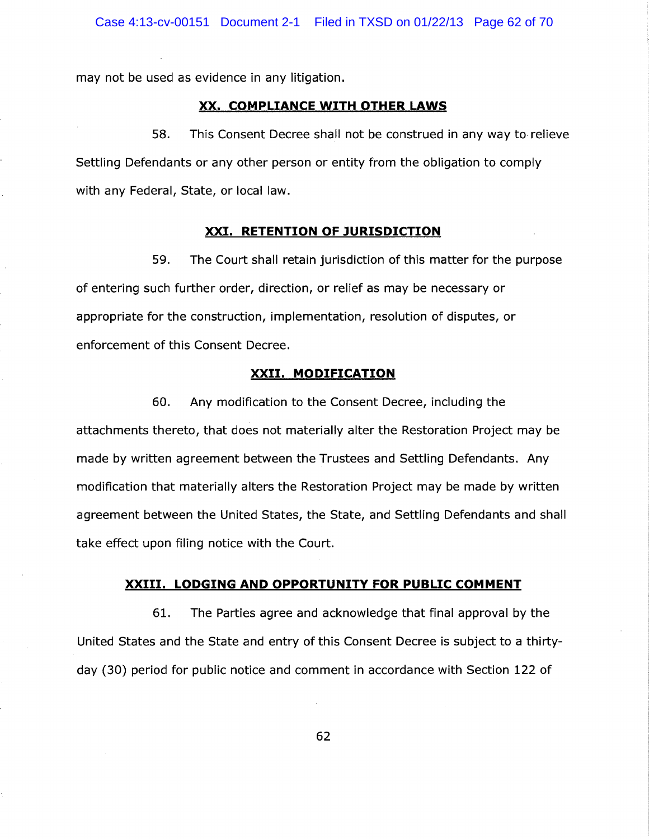may not be used as evidence in any litigation.

## XX. COMPLIANCE WITH OTHER LAWS

58. This Consent Decree shall not be construed in any way to relieve Settling Defendants or any other person or entity from the obligation to comply with any Federal, State, or local law.

## XXI. RETENTION OF JURISDICTION

59. The Court shall retain jurisdiction of this matter for the purpose of entering such further order, direction, or relief as may be necessary or appropriate for the construction, implementation, resolution of disputes, or enforcement of this Consent Decree.

## XXII. MODIFICATION

60. Any modification to the Consent Decree, including the attachments thereto, that does not materially alter the Restoration Project may be made by written agreement between the Trustees and Settling Defendants. Any modification that materially alters the Restoration Project may be made by written agreement between the United States, the State, and Settling Defendants and shall take efFect upon filing notice with the Court.

#### XXIII. LODGING AND OPPORTUNITY FOR PUBLIC COMMENT

61. The Parties agree and acknowledge that final approval by the United States and the State and entry of this Consent Decree is subject to a thirtyday (30) period for public notice and comment in accordance with Section 122 of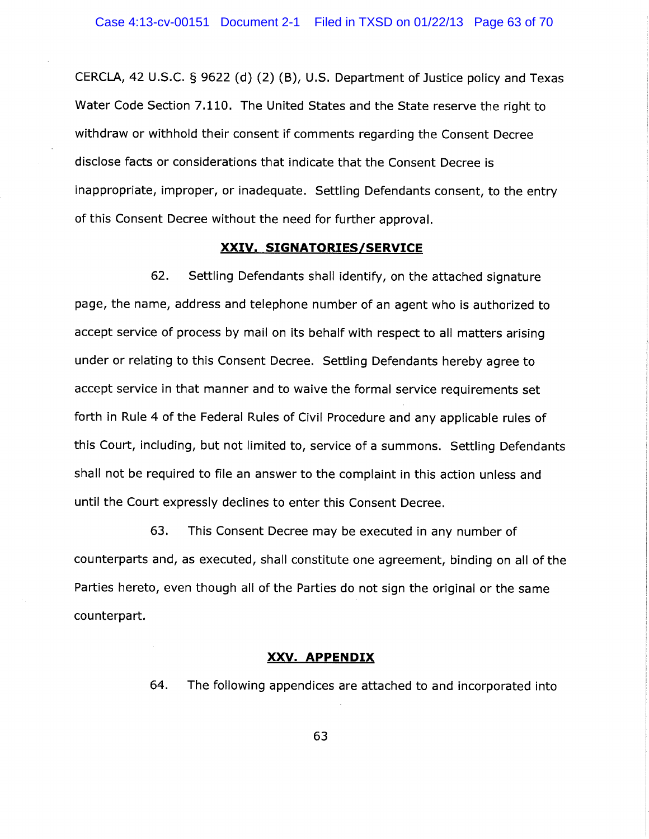CERCLA, 42 U.S.C. § 9622 (d) (2) (B), U.S. Department of Justice policy and Texas Water Code Section 7.110. The United States and the State reserve the right to withdraw or withhold their consent if comments regarding the Consent Decree disclose facts or considerations that indicate that the Consent Decree is inappropriate, improper, or inadequate. Settling Defendants consent, to the entry of this Consent Decree without the need for further approval.

### XXIV. SIGNATORIES/SERVICE

62. Settling Defendants shall identify, on the attached signature page, the name, address and telephone number of an agent who is authorized to accept service of process by mail on its behalf with respect to all matters arising under or relating to this Consent Decree. Settling Defendants hereby agree to accept service in that manner and to waive the formal service requirements set forth in Rule 4 of the Federal Rules of Civil Procedure and any applicable rules of this Court, including, but not limited to, service of a summons. Settling Defendants shall not be required to file an answer to the complaint in this action unless and until the Court expressly declines to enter this Consent Decree.

63. This Consent Decree may be executed in any number of counterparts and, as executed, shall constitute one agreement, binding on all of the Parties hereto, even though all of the Parties do not sign the original or the same counterpart.

#### XXV. APPENDIX

64. The following appendices are attached to and incorporated into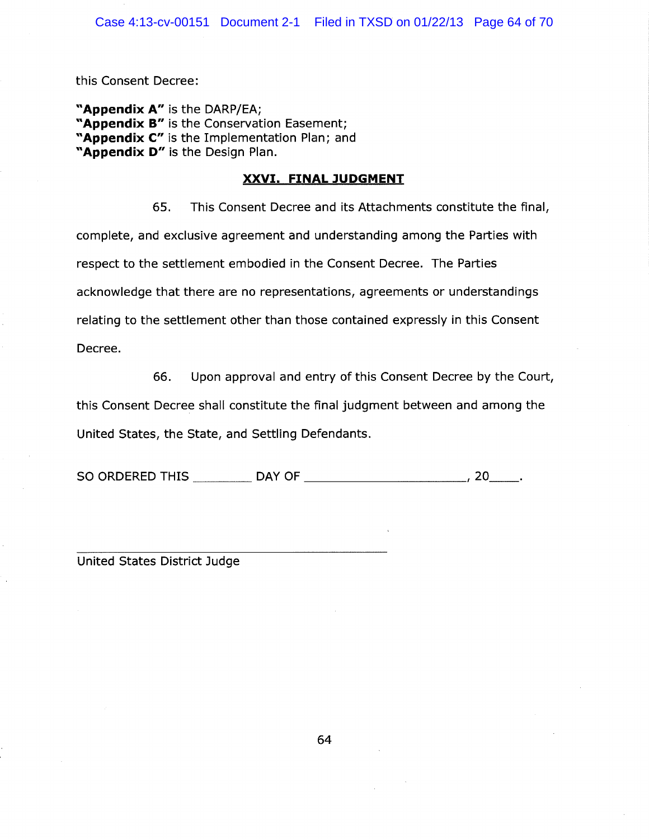this Consent Decree:

"Appendix A" is the DARP/EA; "Appendix B" is the Conservation Easement; "Appendix C" is the Implementation Plan; and "Appendix D" is the Design Plan.

## XXVI. FINAL JUDGMENT

65. This Consent Decree and its Attachments constitute the final, complete, and exclusive agreement and understanding among the Parties with respect to the settlement embodied in the Consent Decree. The Parties acknowledge that there are no representations, agreements or understandings relating to the settlement other than those contained expressly in this Consent Decree.

66. Upon approval and entry of this Consent Decree by the Court,

this Consent Decree shall constitute the final judgment between and among the United States, the State, and Settling Defendants.

SO ORDERED THIS DAY OF , 20

United States District Judge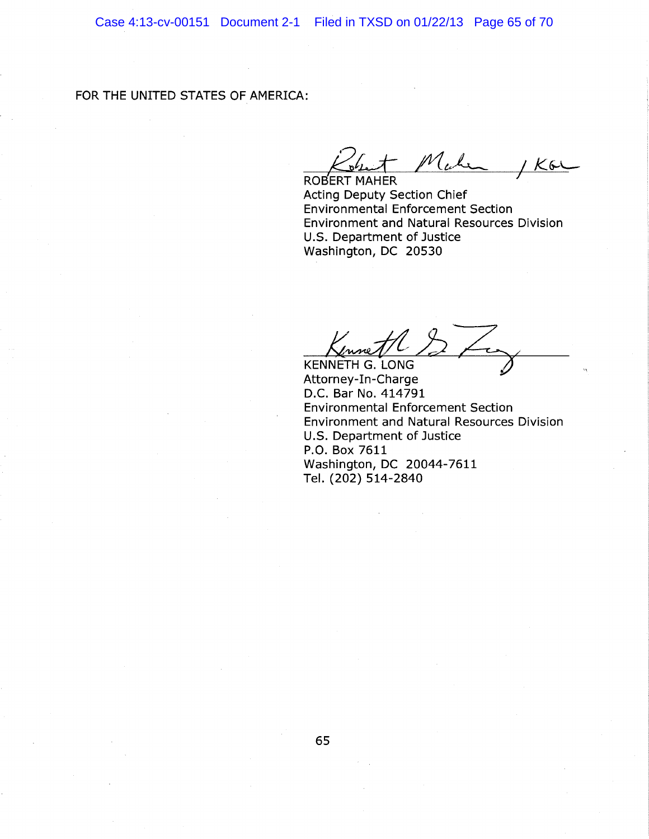# FOR THE UNITED STATES OF AMERICA:

Make  $1K6L$ 

ROBERT MAHER Acting Deputy Section Chief Environmental Enforcement Section Environment and Natural Resources Division U.S. Department of Justice Washington, DC 20530

KENNETH G. LONG

Attorney-In-Charge D.C. Bar No. 414791 Environmental Enforcement Section Environment and Natural Resources Division U.S. Department of Justice P.O. Box 7611 Washington, DC 20044-7611 Tel. (202) 514-2840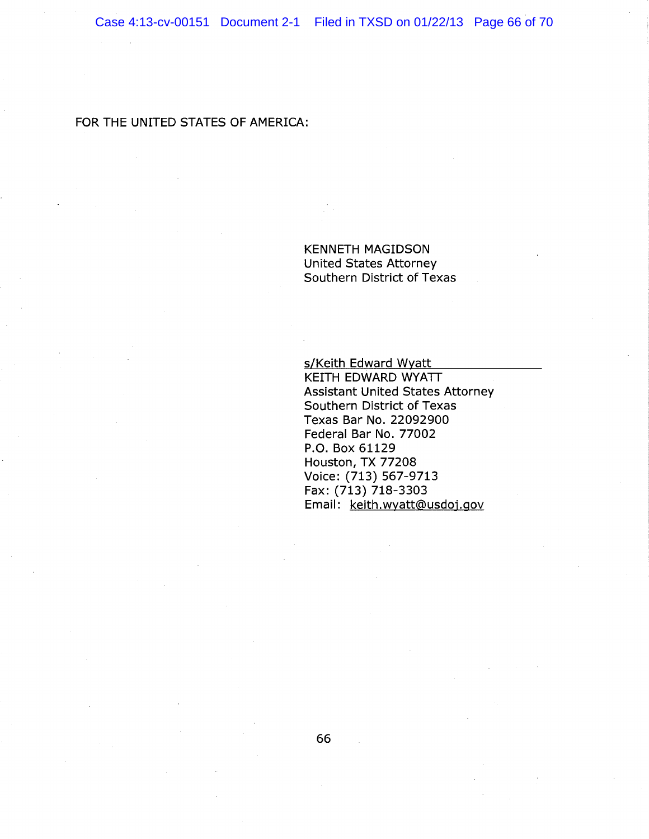FOR THE UNITED STATES OF AMERICA:

KENNETH MAGIDSON United States Attorney Southern District of Texas

s/Keith Edward Wyatt

KEITH EDWARD WYATT Assistant United States Attorney Southern District of Texas Texas Bar No. 22092900 Federal Bar No. 77002 P.O. Box 61129 Houston, TX 77208 Voice: (713) 567-9713 Fax: (713) 718-3303 Email: keith.wyatt@usdoj.gov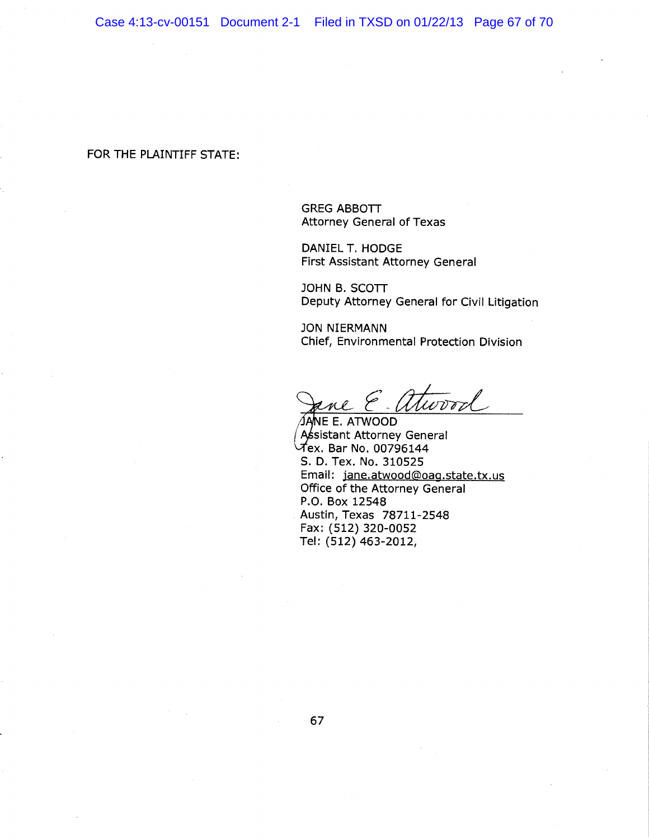### FOR THE PLAINTIFF STATE:

GREG ABBOTT Attorney General of Texas

DANIEL T. HODGE First Assistant Attorney Genera!

JOHN B. SCOTT Deputy Attorney General for Civil Litigation

JON NIERMANN Chief, Environmental Protection Division

 $7$  Twood

ÍANE E. ATWOOD Assistant Attorney General  $\vec{\mathcal{A}}$ ex. Bar No. 00796144 S. D. Tex. No. 310525 Email: jane.atwood@oag.state.tx.us Office of the Attorney General P.O. Box 12548 Austin, Texas 78711-2548 Fax: (512) 320-0052 Tel: (512) 463-2012,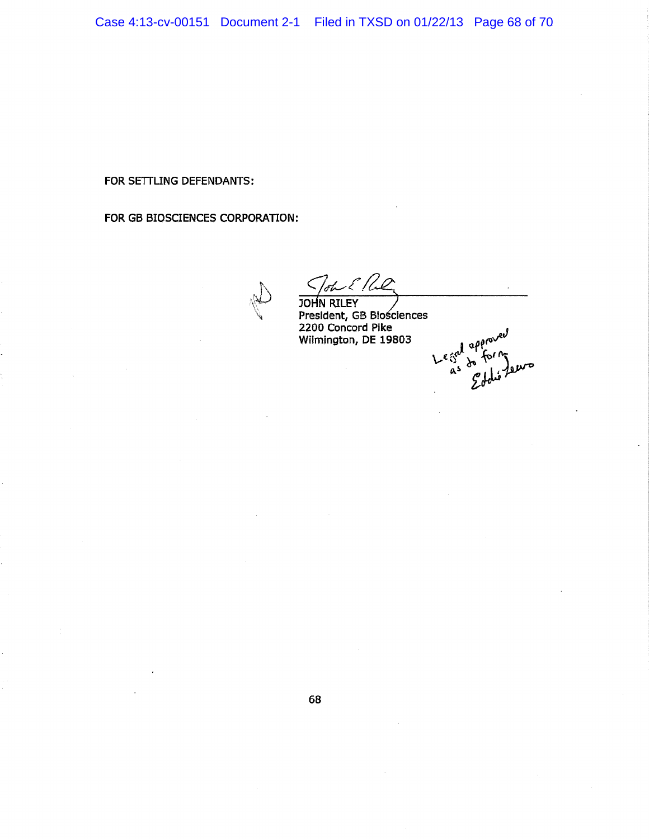FOR SETTLING DEFENDANTS:

FOR GB SIQSCIENCES CORPORATION:

 $J_{ab}$   $\mathcal{E}$  Re JOHN RILEY President, GB Biościences 2200 Concord Pike ~ Wilmington, DE 19803  $\frac{1}{2}$   $\frac{\partial \theta^{\alpha}}{\gamma^{\beta}}$  $Le$   $\frac{1}{2}$   $\frac{ap}{r}$  for  $\frac{n}{2}$ 

 $A^2$   $\mathcal{L}$  delighted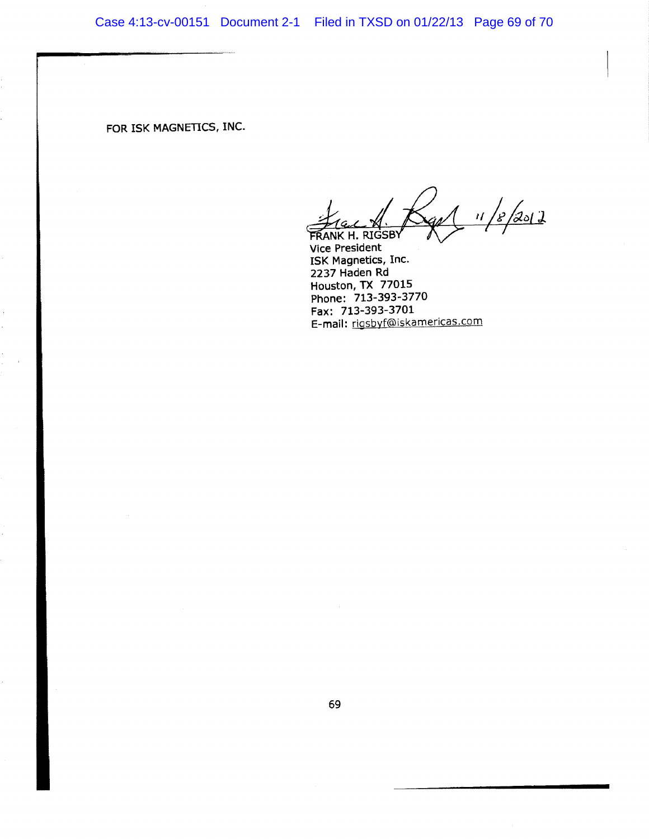FOR ISK MAGNETICS, INC.

r $\frac{1}{2}$  11/8/2012 FRANK H. RIGSBY

Vice President I5K Magnetics, Inc. 2237 Haden Rd Houston, TX 77015 Phone: 713-393-3770 Fax: 713-393-3701 E-mail: rigsbyf@iskamericas.com